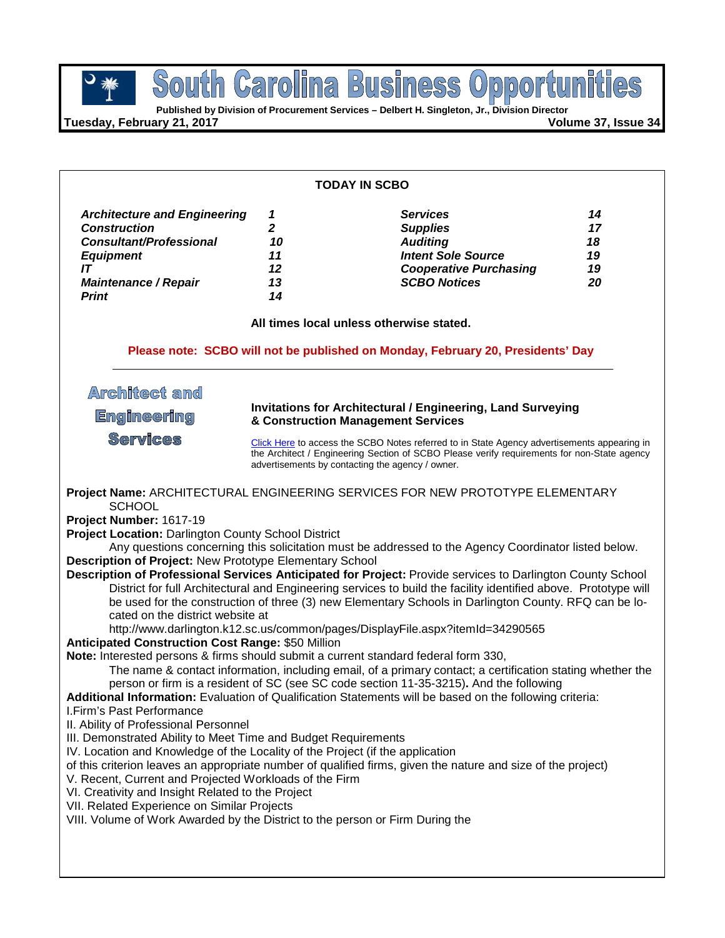**Business POUTH GETOIME BUSINESS OPPOOFTURE** South Carolina

**Tuesday, February 21, 2017 Volume 37, Issue 34**

### **TODAY IN SCBO**

| <b>Architecture and Engineering</b> |    | <b>Services</b>               | 14 |
|-------------------------------------|----|-------------------------------|----|
| <b>Construction</b>                 |    | <b>Supplies</b>               |    |
| <b>Consultant/Professional</b>      | 10 | <b>Auditing</b>               | 18 |
| <b>Equipment</b>                    | 11 | <b>Intent Sole Source</b>     | 19 |
|                                     | 12 | <b>Cooperative Purchasing</b> | 19 |
| <b>Maintenance / Repair</b>         | 13 | <b>SCBO Notices</b>           | 20 |
| <b>Print</b>                        | 14 |                               |    |

**All times local unless otherwise stated.**

### **Please note: SCBO will not be published on Monday, February 20, Presidents' Day**

## **Architect and Invitations for Architectural / Engineering, Land Surveying Engineering & Construction Management Services Services** [Click Here](http://www.mmo.sc.gov/PS/general/scbo/SCBO_Notes_060512.pdf) to access the SCBO Notes referred to in State Agency advertisements appearing in the Architect / Engineering Section of SCBO Please verify requirements for non-State agency advertisements by contacting the agency / owner.**Project Name:** ARCHITECTURAL ENGINEERING SERVICES FOR NEW PROTOTYPE ELEMENTARY **SCHOOL Project Number:** 1617-19 **Project Location:** Darlington County School District Any questions concerning this solicitation must be addressed to the Agency Coordinator listed below. **Description of Project:** New Prototype Elementary School **Description of Professional Services Anticipated for Project:** Provide services to Darlington County School District for full Architectural and Engineering services to build the facility identified above. Prototype will be used for the construction of three (3) new Elementary Schools in Darlington County. RFQ can be located on the district website at http://www.darlington.k12.sc.us/common/pages/DisplayFile.aspx?itemId=34290565 **Anticipated Construction Cost Range:** \$50 Million **Note:** Interested persons & firms should submit a current standard federal form 330, The name & contact information, including email, of a primary contact; a certification stating whether the person or firm is a resident of SC (see SC code section 11-35-3215)**.** And the following **Additional Information:** Evaluation of Qualification Statements will be based on the following criteria: I.Firm's Past Performance II. Ability of Professional Personnel III. Demonstrated Ability to Meet Time and Budget Requirements IV. Location and Knowledge of the Locality of the Project (if the application of this criterion leaves an appropriate number of qualified firms, given the nature and size of the project) V. Recent, Current and Projected Workloads of the Firm VI. Creativity and Insight Related to the Project VII. Related Experience on Similar Projects VIII. Volume of Work Awarded by the District to the person or Firm During the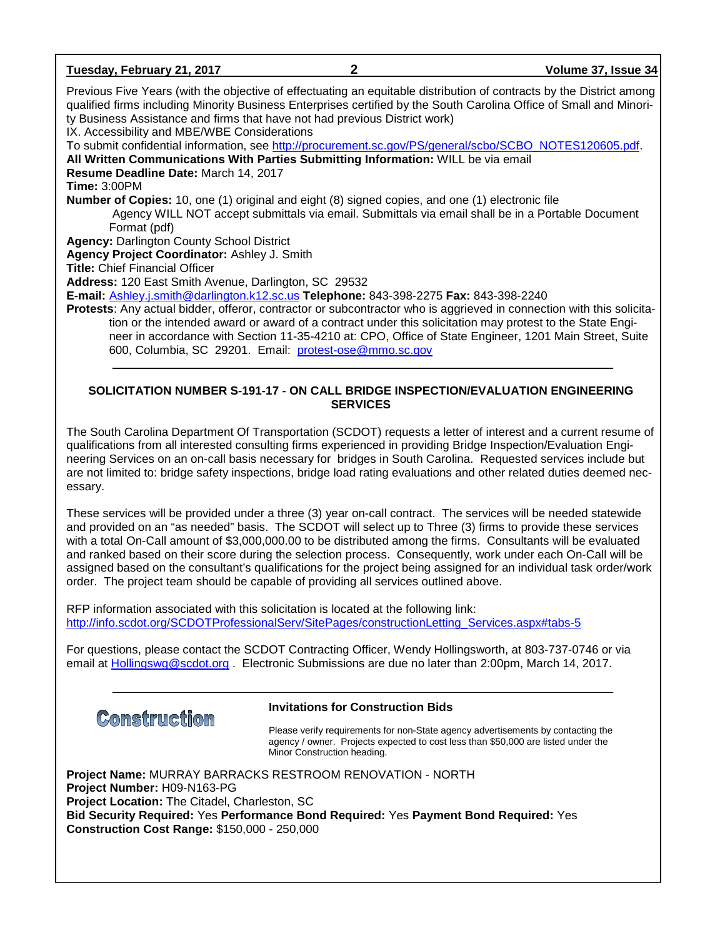| Tuesday, February 21, 2017                                                                                                                                                                   | 2 | Volume 37, Issue 34                                                                                                                                                                                                                         |
|----------------------------------------------------------------------------------------------------------------------------------------------------------------------------------------------|---|---------------------------------------------------------------------------------------------------------------------------------------------------------------------------------------------------------------------------------------------|
| ty Business Assistance and firms that have not had previous District work)                                                                                                                   |   | Previous Five Years (with the objective of effectuating an equitable distribution of contracts by the District among<br>qualified firms including Minority Business Enterprises certified by the South Carolina Office of Small and Minori- |
| IX. Accessibility and MBE/WBE Considerations                                                                                                                                                 |   |                                                                                                                                                                                                                                             |
| To submit confidential information, see http://procurement.sc.gov/PS/general/scbo/SCBO_NOTES120605.pdf.<br>All Written Communications With Parties Submitting Information: WILL be via email |   |                                                                                                                                                                                                                                             |
| Resume Deadline Date: March 14, 2017                                                                                                                                                         |   |                                                                                                                                                                                                                                             |
| <b>Time: 3:00PM</b>                                                                                                                                                                          |   |                                                                                                                                                                                                                                             |
| <b>Number of Copies:</b> 10, one (1) original and eight (8) signed copies, and one (1) electronic file                                                                                       |   |                                                                                                                                                                                                                                             |
| Format (pdf)                                                                                                                                                                                 |   | Agency WILL NOT accept submittals via email. Submittals via email shall be in a Portable Document                                                                                                                                           |
| <b>Agency: Darlington County School District</b>                                                                                                                                             |   |                                                                                                                                                                                                                                             |
| Agency Project Coordinator: Ashley J. Smith                                                                                                                                                  |   |                                                                                                                                                                                                                                             |
| <b>Title: Chief Financial Officer</b>                                                                                                                                                        |   |                                                                                                                                                                                                                                             |
| Address: 120 East Smith Avenue, Darlington, SC 29532                                                                                                                                         |   |                                                                                                                                                                                                                                             |
| E-mail: Ashley.j.smith@darlington.k12.sc.us Telephone: 843-398-2275 Fax: 843-398-2240                                                                                                        |   |                                                                                                                                                                                                                                             |
|                                                                                                                                                                                              |   | Protests: Any actual bidder, offeror, contractor or subcontractor who is aggrieved in connection with this solicita-                                                                                                                        |
|                                                                                                                                                                                              |   | tion or the intended award or award of a contract under this solicitation may protest to the State Engi-                                                                                                                                    |
|                                                                                                                                                                                              |   | neer in accordance with Section 11-35-4210 at: CPO, Office of State Engineer, 1201 Main Street, Suite                                                                                                                                       |
| 600, Columbia, SC 29201. Email: protest-ose@mmo.sc.gov                                                                                                                                       |   |                                                                                                                                                                                                                                             |
|                                                                                                                                                                                              |   |                                                                                                                                                                                                                                             |

### **SOLICITATION NUMBER S-191-17 - ON CALL BRIDGE INSPECTION/EVALUATION ENGINEERING SERVICES**

The South Carolina Department Of Transportation (SCDOT) requests a letter of interest and a current resume of qualifications from all interested consulting firms experienced in providing Bridge Inspection/Evaluation Engineering Services on an on-call basis necessary for bridges in South Carolina. Requested services include but are not limited to: bridge safety inspections, bridge load rating evaluations and other related duties deemed necessary.

These services will be provided under a three (3) year on-call contract. The services will be needed statewide and provided on an "as needed" basis. The SCDOT will select up to Three (3) firms to provide these services with a total On-Call amount of \$3,000,000.00 to be distributed among the firms. Consultants will be evaluated and ranked based on their score during the selection process. Consequently, work under each On-Call will be assigned based on the consultant's qualifications for the project being assigned for an individual task order/work order. The project team should be capable of providing all services outlined above.

RFP information associated with this solicitation is located at the following link: [http://info.scdot.org/SCDOTProfessionalServ/SitePages/constructionLetting\\_Services.aspx#tabs-5](http://info.scdot.org/SCDOTProfessionalServ/SitePages/constructionLetting_Services.aspx#tabs-5)

For questions, please contact the SCDOT Contracting Officer, Wendy Hollingsworth, at 803-737-0746 or via email at [Hollingswg@scdot.org](mailto:Hollingswg@scdot.org) . Electronic Submissions are due no later than 2:00pm, March 14, 2017.

**Construction** 

**Invitations for Construction Bids**

Please verify requirements for non-State agency advertisements by contacting the agency / owner. Projects expected to cost less than \$50,000 are listed under the Minor Construction heading.

**Project Name:** MURRAY BARRACKS RESTROOM RENOVATION - NORTH **Project Number:** H09-N163-PG **Project Location:** The Citadel, Charleston, SC **Bid Security Required:** Yes **Performance Bond Required:** Yes **Payment Bond Required:** Yes **Construction Cost Range:** \$150,000 - 250,000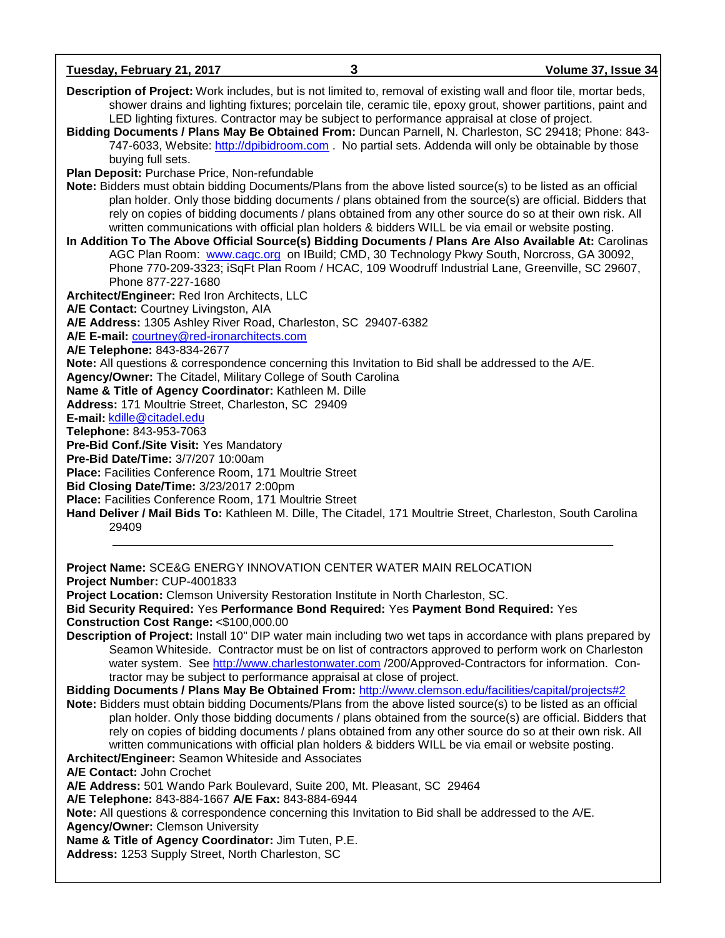**Tuesday, February 21, 2017 3 Volume 37, Issue 34 Description of Project:** Work includes, but is not limited to, removal of existing wall and floor tile, mortar beds, shower drains and lighting fixtures; porcelain tile, ceramic tile, epoxy grout, shower partitions, paint and LED lighting fixtures. Contractor may be subject to performance appraisal at close of project. **Bidding Documents / Plans May Be Obtained From:** Duncan Parnell, N. Charleston, SC 29418; Phone: 843- 747-6033, Website: [http://dpibidroom.com](http://dpibidroom.com/) . No partial sets. Addenda will only be obtainable by those buying full sets. **Plan Deposit:** Purchase Price, Non-refundable **Note:** Bidders must obtain bidding Documents/Plans from the above listed source(s) to be listed as an official plan holder. Only those bidding documents / plans obtained from the source(s) are official. Bidders that rely on copies of bidding documents / plans obtained from any other source do so at their own risk. All written communications with official plan holders & bidders WILL be via email or website posting. **In Addition To The Above Official Source(s) Bidding Documents / Plans Are Also Available At:** Carolinas AGC Plan Room: [www.cagc.org](http://www.cagc.org/) on IBuild; CMD, 30 Technology Pkwy South, Norcross, GA 30092, Phone 770-209-3323; iSqFt Plan Room / HCAC, 109 Woodruff Industrial Lane, Greenville, SC 29607, Phone 877-227-1680 **Architect/Engineer:** Red Iron Architects, LLC **A/E Contact:** Courtney Livingston, AIA **A/E Address:** 1305 Ashley River Road, Charleston, SC 29407-6382 **A/E E-mail:** [courtney@red-ironarchitects.com](mailto:courtney@red-ironarchitects.com) **A/E Telephone:** 843-834-2677 **Note:** All questions & correspondence concerning this Invitation to Bid shall be addressed to the A/E. **Agency/Owner:** The Citadel, Military College of South Carolina **Name & Title of Agency Coordinator:** Kathleen M. Dille **Address:** 171 Moultrie Street, Charleston, SC 29409 **E-mail:** [kdille@citadel.edu](mailto:kdille@citadel.edu)  **Telephone:** 843-953-7063 **Pre-Bid Conf./Site Visit:** Yes Mandatory **Pre-Bid Date/Time:** 3/7/207 10:00am **Place:** Facilities Conference Room, 171 Moultrie Street **Bid Closing Date/Time:** 3/23/2017 2:00pm **Place:** Facilities Conference Room, 171 Moultrie Street **Hand Deliver / Mail Bids To:** Kathleen M. Dille, The Citadel, 171 Moultrie Street, Charleston, South Carolina 29409 **Project Name:** SCE&G ENERGY INNOVATION CENTER WATER MAIN RELOCATION **Project Number:** CUP-4001833 **Project Location:** Clemson University Restoration Institute in North Charleston, SC. **Bid Security Required:** Yes **Performance Bond Required:** Yes **Payment Bond Required:** Yes **Construction Cost Range:** <\$100,000.00 **Description of Project:** Install 10" DIP water main including two wet taps in accordance with plans prepared by Seamon Whiteside. Contractor must be on list of contractors approved to perform work on Charleston water system. See [http://www.charlestonwater.com](http://www.charlestonwater.com/) /200/Approved-Contractors for information. Contractor may be subject to performance appraisal at close of project. **Bidding Documents / Plans May Be Obtained From:** <http://www.clemson.edu/facilities/capital/projects#2> **Note:** Bidders must obtain bidding Documents/Plans from the above listed source(s) to be listed as an official plan holder. Only those bidding documents / plans obtained from the source(s) are official. Bidders that rely on copies of bidding documents / plans obtained from any other source do so at their own risk. All written communications with official plan holders & bidders WILL be via email or website posting. **Architect/Engineer:** Seamon Whiteside and Associates **A/E Contact:** John Crochet **A/E Address:** 501 Wando Park Boulevard, Suite 200, Mt. Pleasant, SC 29464 **A/E Telephone:** 843-884-1667 **A/E Fax:** 843-884-6944 **Note:** All questions & correspondence concerning this Invitation to Bid shall be addressed to the A/E. **Agency/Owner:** Clemson University **Name & Title of Agency Coordinator:** Jim Tuten, P.E. **Address:** 1253 Supply Street, North Charleston, SC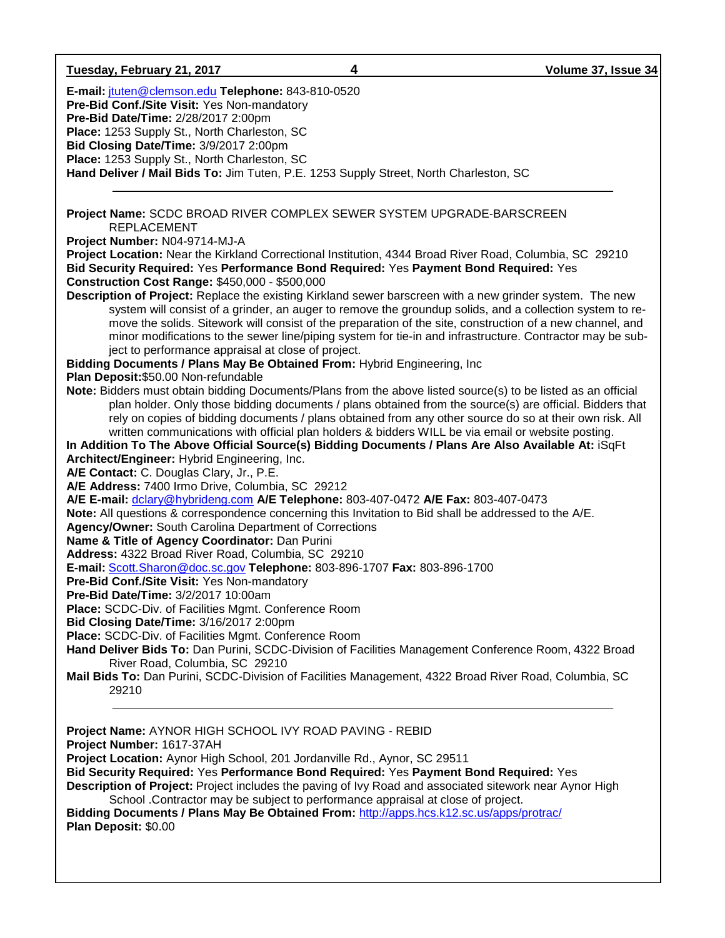| Tuesday, February 21, 2017                                                                                                                                                                                                                                                                                                                                                  | 4 | Volume 37, Issue 34                                                                                                                                                                                                                                                                                                                                                                                                                       |
|-----------------------------------------------------------------------------------------------------------------------------------------------------------------------------------------------------------------------------------------------------------------------------------------------------------------------------------------------------------------------------|---|-------------------------------------------------------------------------------------------------------------------------------------------------------------------------------------------------------------------------------------------------------------------------------------------------------------------------------------------------------------------------------------------------------------------------------------------|
| E-mail: jtuten@clemson.edu Telephone: 843-810-0520<br>Pre-Bid Conf./Site Visit: Yes Non-mandatory<br>Pre-Bid Date/Time: 2/28/2017 2:00pm<br>Place: 1253 Supply St., North Charleston, SC<br>Bid Closing Date/Time: 3/9/2017 2:00pm<br>Place: 1253 Supply St., North Charleston, SC<br>Hand Deliver / Mail Bids To: Jim Tuten, P.E. 1253 Supply Street, North Charleston, SC |   |                                                                                                                                                                                                                                                                                                                                                                                                                                           |
| Project Name: SCDC BROAD RIVER COMPLEX SEWER SYSTEM UPGRADE-BARSCREEN<br><b>REPLACEMENT</b>                                                                                                                                                                                                                                                                                 |   |                                                                                                                                                                                                                                                                                                                                                                                                                                           |
| Project Number: N04-9714-MJ-A<br>Project Location: Near the Kirkland Correctional Institution, 4344 Broad River Road, Columbia, SC 29210<br>Bid Security Required: Yes Performance Bond Required: Yes Payment Bond Required: Yes<br><b>Construction Cost Range: \$450,000 - \$500,000</b>                                                                                   |   | Description of Project: Replace the existing Kirkland sewer barscreen with a new grinder system. The new<br>system will consist of a grinder, an auger to remove the groundup solids, and a collection system to re-<br>move the solids. Sitework will consist of the preparation of the site, construction of a new channel, and                                                                                                         |
| ject to performance appraisal at close of project.<br>Bidding Documents / Plans May Be Obtained From: Hybrid Engineering, Inc<br>Plan Deposit: \$50.00 Non-refundable                                                                                                                                                                                                       |   | minor modifications to the sewer line/piping system for tie-in and infrastructure. Contractor may be sub-                                                                                                                                                                                                                                                                                                                                 |
| In Addition To The Above Official Source(s) Bidding Documents / Plans Are Also Available At: iSqFt<br>Architect/Engineer: Hybrid Engineering, Inc.                                                                                                                                                                                                                          |   | Note: Bidders must obtain bidding Documents/Plans from the above listed source(s) to be listed as an official<br>plan holder. Only those bidding documents / plans obtained from the source(s) are official. Bidders that<br>rely on copies of bidding documents / plans obtained from any other source do so at their own risk. All<br>written communications with official plan holders & bidders WILL be via email or website posting. |
| A/E Contact: C. Douglas Clary, Jr., P.E.<br>A/E Address: 7400 Irmo Drive, Columbia, SC 29212<br>A/E E-mail: dclary@hybrideng.com A/E Telephone: 803-407-0472 A/E Fax: 803-407-0473<br>Note: All questions & correspondence concerning this Invitation to Bid shall be addressed to the A/E.<br><b>Agency/Owner: South Carolina Department of Corrections</b>                |   |                                                                                                                                                                                                                                                                                                                                                                                                                                           |
| Name & Title of Agency Coordinator: Dan Purini<br>Address: 4322 Broad River Road, Columbia, SC 29210<br>E-mail: Scott.Sharon@doc.sc.gov Telephone: 803-896-1707 Fax: 803-896-1700<br>Pre-Bid Conf./Site Visit: Yes Non-mandatory<br>Pre-Bid Date/Time: 3/2/2017 10:00am                                                                                                     |   |                                                                                                                                                                                                                                                                                                                                                                                                                                           |
| Place: SCDC-Div. of Facilities Mgmt. Conference Room<br>Bid Closing Date/Time: 3/16/2017 2:00pm<br>Place: SCDC-Div. of Facilities Mgmt. Conference Room<br>Hand Deliver Bids To: Dan Purini, SCDC-Division of Facilities Management Conference Room, 4322 Broad<br>River Road, Columbia, SC 29210                                                                           |   |                                                                                                                                                                                                                                                                                                                                                                                                                                           |
| Mail Bids To: Dan Purini, SCDC-Division of Facilities Management, 4322 Broad River Road, Columbia, SC<br>29210<br>Project Name: AYNOR HIGH SCHOOL IVY ROAD PAVING - REBID                                                                                                                                                                                                   |   |                                                                                                                                                                                                                                                                                                                                                                                                                                           |
| Project Number: 1617-37AH<br>Project Location: Aynor High School, 201 Jordanville Rd., Aynor, SC 29511<br>Bid Security Required: Yes Performance Bond Required: Yes Payment Bond Required: Yes                                                                                                                                                                              |   |                                                                                                                                                                                                                                                                                                                                                                                                                                           |

**Description of Project:** Project includes the paving of Ivy Road and associated sitework near Aynor High School .Contractor may be subject to performance appraisal at close of project.

**Bidding Documents / Plans May Be Obtained From:** <http://apps.hcs.k12.sc.us/apps/protrac/> **Plan Deposit:** \$0.00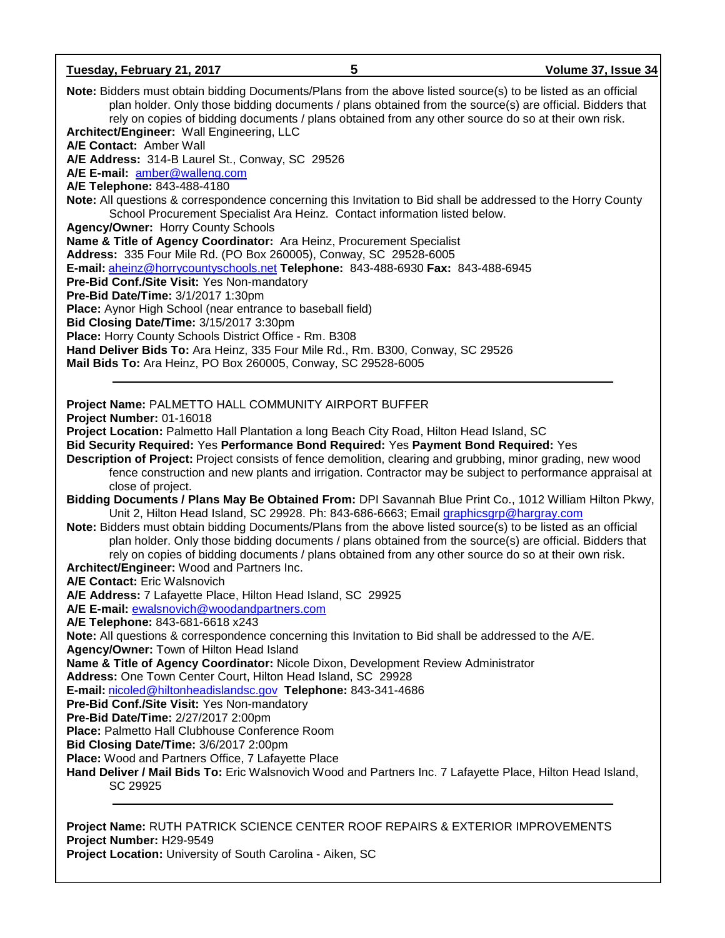**Tuesday, February 21, 2017 5 Volume 37, Issue 34 Note:** Bidders must obtain bidding Documents/Plans from the above listed source(s) to be listed as an official plan holder. Only those bidding documents / plans obtained from the source(s) are official. Bidders that rely on copies of bidding documents / plans obtained from any other source do so at their own risk. **Architect/Engineer:** Wall Engineering, LLC **A/E Contact:** Amber Wall **A/E Address:** 314-B Laurel St., Conway, SC 29526 **A/E E-mail:** [amber@walleng.com](mailto:amber@walleng.com) **A/E Telephone:** 843-488-4180 **Note:** All questions & correspondence concerning this Invitation to Bid shall be addressed to the Horry County School Procurement Specialist Ara Heinz. Contact information listed below. **Agency/Owner:** Horry County Schools **Name & Title of Agency Coordinator:** Ara Heinz, Procurement Specialist **Address:** 335 Four Mile Rd. (PO Box 260005), Conway, SC 29528-6005 **E-mail:** [aheinz@horrycountyschools.net](mailto:aheinz@horrycountyschools.net) **Telephone:** 843-488-6930 **Fax:** 843-488-6945 **Pre-Bid Conf./Site Visit:** Yes Non-mandatory **Pre-Bid Date/Time:** 3/1/2017 1:30pm **Place:** Aynor High School (near entrance to baseball field) **Bid Closing Date/Time:** 3/15/2017 3:30pm **Place:** Horry County Schools District Office - Rm. B308 **Hand Deliver Bids To:** Ara Heinz, 335 Four Mile Rd., Rm. B300, Conway, SC 29526 **Mail Bids To:** Ara Heinz, PO Box 260005, Conway, SC 29528-6005 **Project Name:** PALMETTO HALL COMMUNITY AIRPORT BUFFER **Project Number:** 01-16018 **Project Location:** Palmetto Hall Plantation a long Beach City Road, Hilton Head Island, SC **Bid Security Required:** Yes **Performance Bond Required:** Yes **Payment Bond Required:** Yes **Description of Project:** Project consists of fence demolition, clearing and grubbing, minor grading, new wood fence construction and new plants and irrigation. Contractor may be subject to performance appraisal at close of project. **Bidding Documents / Plans May Be Obtained From:** DPI Savannah Blue Print Co., 1012 William Hilton Pkwy, Unit 2, Hilton Head Island, SC 29928. Ph: 843-686-6663; Email [graphicsgrp@hargray.com](mailto:graphicsgrp@hargray.com) **Note:** Bidders must obtain bidding Documents/Plans from the above listed source(s) to be listed as an official plan holder. Only those bidding documents / plans obtained from the source(s) are official. Bidders that rely on copies of bidding documents / plans obtained from any other source do so at their own risk. **Architect/Engineer:** Wood and Partners Inc. **A/E Contact:** Eric Walsnovich **A/E Address:** 7 Lafayette Place, Hilton Head Island, SC 29925 **A/E E-mail:** [ewalsnovich@woodandpartners.com](mailto:ewalsnovich@woodandpartners.com) **A/E Telephone:** 843-681-6618 x243 **Note:** All questions & correspondence concerning this Invitation to Bid shall be addressed to the A/E. **Agency/Owner:** Town of Hilton Head Island **Name & Title of Agency Coordinator:** Nicole Dixon, Development Review Administrator **Address:** One Town Center Court, Hilton Head Island, SC 29928 **E-mail:** [nicoled@hiltonheadislandsc.gov](mailto:nicoled@hiltonheadislandsc.gov) **Telephone:** 843-341-4686 **Pre-Bid Conf./Site Visit:** Yes Non-mandatory **Pre-Bid Date/Time:** 2/27/2017 2:00pm **Place:** Palmetto Hall Clubhouse Conference Room **Bid Closing Date/Time:** 3/6/2017 2:00pm **Place:** Wood and Partners Office, 7 Lafayette Place **Hand Deliver / Mail Bids To:** Eric Walsnovich Wood and Partners Inc. 7 Lafayette Place, Hilton Head Island, SC 29925

**Project Name:** RUTH PATRICK SCIENCE CENTER ROOF REPAIRS & EXTERIOR IMPROVEMENTS **Project Number:** H29-9549 **Project Location:** University of South Carolina - Aiken, SC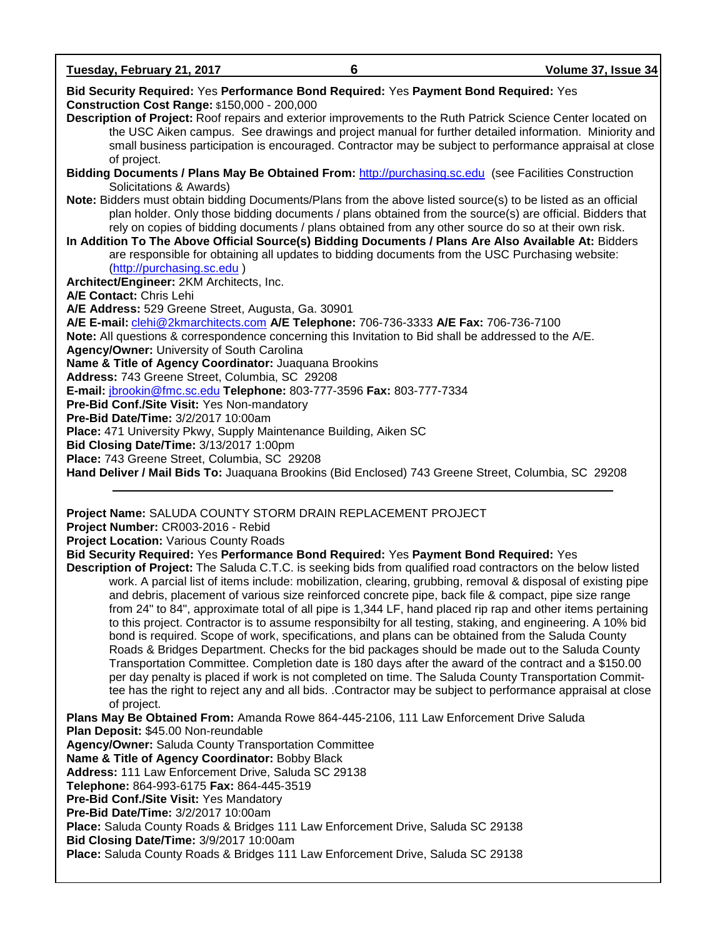**Tuesday, February 21, 2017 6 Volume 37, Issue 34**

| Bid Security Required: Yes Performance Bond Required: Yes Payment Bond Required: Yes<br><b>Construction Cost Range: \$150,000 - 200,000</b>                                                    |
|------------------------------------------------------------------------------------------------------------------------------------------------------------------------------------------------|
| Description of Project: Roof repairs and exterior improvements to the Ruth Patrick Science Center located on                                                                                   |
| the USC Aiken campus. See drawings and project manual for further detailed information. Miniority and                                                                                          |
| small business participation is encouraged. Contractor may be subject to performance appraisal at close                                                                                        |
| of project.                                                                                                                                                                                    |
| Bidding Documents / Plans May Be Obtained From: http://purchasing.sc.edu (see Facilities Construction<br>Solicitations & Awards)                                                               |
| Note: Bidders must obtain bidding Documents/Plans from the above listed source(s) to be listed as an official                                                                                  |
| plan holder. Only those bidding documents / plans obtained from the source(s) are official. Bidders that                                                                                       |
| rely on copies of bidding documents / plans obtained from any other source do so at their own risk.                                                                                            |
| In Addition To The Above Official Source(s) Bidding Documents / Plans Are Also Available At: Bidders                                                                                           |
| are responsible for obtaining all updates to bidding documents from the USC Purchasing website:                                                                                                |
| (http://purchasing.sc.edu)                                                                                                                                                                     |
| Architect/Engineer: 2KM Architects, Inc.                                                                                                                                                       |
| A/E Contact: Chris Lehi                                                                                                                                                                        |
| A/E Address: 529 Greene Street, Augusta, Ga. 30901                                                                                                                                             |
| A/E E-mail: clehi@2kmarchitects.com A/E Telephone: 706-736-3333 A/E Fax: 706-736-7100<br>Note: All questions & correspondence concerning this Invitation to Bid shall be addressed to the A/E. |
| <b>Agency/Owner: University of South Carolina</b>                                                                                                                                              |
| Name & Title of Agency Coordinator: Juaquana Brookins                                                                                                                                          |
| Address: 743 Greene Street, Columbia, SC 29208                                                                                                                                                 |
| E-mail: jbrookin@fmc.sc.edu Telephone: 803-777-3596 Fax: 803-777-7334                                                                                                                          |
| Pre-Bid Conf./Site Visit: Yes Non-mandatory                                                                                                                                                    |
| <b>Pre-Bid Date/Time: 3/2/2017 10:00am</b>                                                                                                                                                     |
| Place: 471 University Pkwy, Supply Maintenance Building, Aiken SC                                                                                                                              |
| Bid Closing Date/Time: 3/13/2017 1:00pm                                                                                                                                                        |
| Place: 743 Greene Street, Columbia, SC 29208                                                                                                                                                   |
| Hand Deliver / Mail Bids To: Juaquana Brookins (Bid Enclosed) 743 Greene Street, Columbia, SC 29208                                                                                            |
|                                                                                                                                                                                                |

**Project Name:** SALUDA COUNTY STORM DRAIN REPLACEMENT PROJECT

**Project Number:** CR003-2016 - Rebid

**Project Location:** Various County Roads

**Bid Security Required:** Yes **Performance Bond Required:** Yes **Payment Bond Required:** Yes

**Description of Project:** The Saluda C.T.C. is seeking bids from qualified road contractors on the below listed work. A parcial list of items include: mobilization, clearing, grubbing, removal & disposal of existing pipe and debris, placement of various size reinforced concrete pipe, back file & compact, pipe size range from 24" to 84", approximate total of all pipe is 1,344 LF, hand placed rip rap and other items pertaining to this project. Contractor is to assume responsibilty for all testing, staking, and engineering. A 10% bid bond is required. Scope of work, specifications, and plans can be obtained from the Saluda County Roads & Bridges Department. Checks for the bid packages should be made out to the Saluda County Transportation Committee. Completion date is 180 days after the award of the contract and a \$150.00 per day penalty is placed if work is not completed on time. The Saluda County Transportation Committee has the right to reject any and all bids. .Contractor may be subject to performance appraisal at close of project.

**Plans May Be Obtained From:** Amanda Rowe 864-445-2106, 111 Law Enforcement Drive Saluda **Plan Deposit:** \$45.00 Non-reundable **Agency/Owner:** Saluda County Transportation Committee **Name & Title of Agency Coordinator:** Bobby Black **Address:** 111 Law Enforcement Drive, Saluda SC 29138 **Telephone:** 864-993-6175 **Fax:** 864-445-3519 **Pre-Bid Conf./Site Visit:** Yes Mandatory **Pre-Bid Date/Time:** 3/2/2017 10:00am **Place:** Saluda County Roads & Bridges 111 Law Enforcement Drive, Saluda SC 29138 **Bid Closing Date/Time:** 3/9/2017 10:00am **Place:** Saluda County Roads & Bridges 111 Law Enforcement Drive, Saluda SC 29138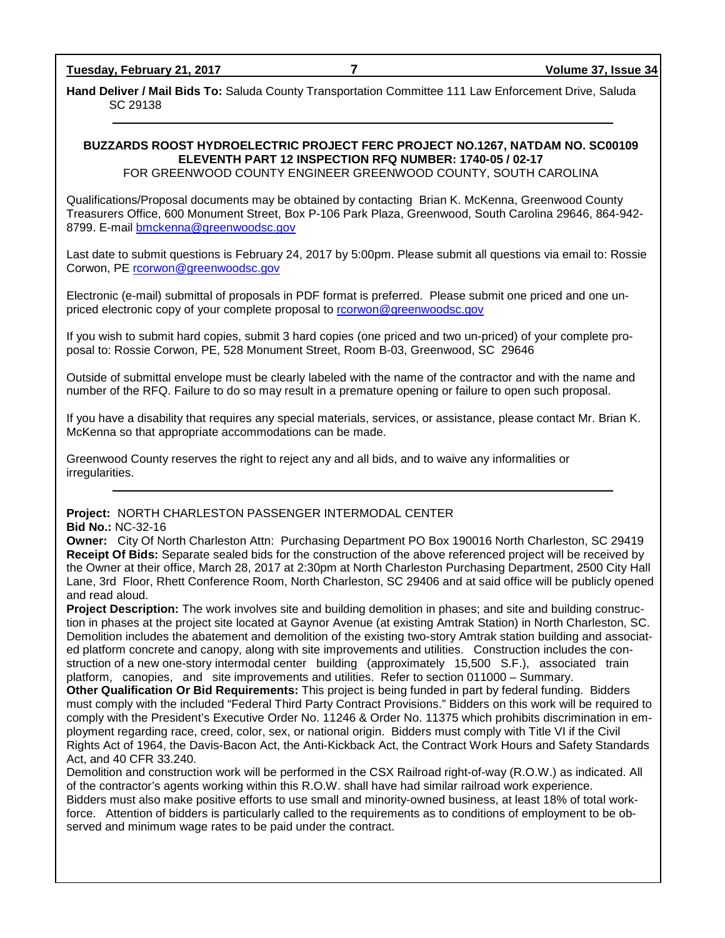**Hand Deliver / Mail Bids To:** Saluda County Transportation Committee 111 Law Enforcement Drive, Saluda SC 29138

# **BUZZARDS ROOST HYDROELECTRIC PROJECT FERC PROJECT NO.1267, NATDAM NO. SC00109 ELEVENTH PART 12 INSPECTION RFQ NUMBER: 1740-05 / 02-17**

FOR GREENWOOD COUNTY ENGINEER GREENWOOD COUNTY, SOUTH CAROLINA

Qualifications/Proposal documents may be obtained by contacting Brian K. McKenna, Greenwood County Treasurers Office, 600 Monument Street, Box P-106 Park Plaza, Greenwood, South Carolina 29646, 864-942- 8799. E-mail [bmckenna@greenwoodsc.gov](mailto:bmckenna@greenwoodsc.gov)

Last date to submit questions is February 24, 2017 by 5:00pm. Please submit all questions via email to: Rossie Corwon, PE [rcorwon@greenwoodsc.gov](mailto:rcorwon@greenwoodsc.gov)

Electronic (e-mail) submittal of proposals in PDF format is preferred. Please submit one priced and one unpriced electronic copy of your complete proposal to [rcorwon@greenwoodsc.gov](mailto:rcorwon@greenwoodsc.gov)

If you wish to submit hard copies, submit 3 hard copies (one priced and two un-priced) of your complete proposal to: Rossie Corwon, PE, 528 Monument Street, Room B-03, Greenwood, SC 29646

Outside of submittal envelope must be clearly labeled with the name of the contractor and with the name and number of the RFQ. Failure to do so may result in a premature opening or failure to open such proposal.

If you have a disability that requires any special materials, services, or assistance, please contact Mr. Brian K. McKenna so that appropriate accommodations can be made.

Greenwood County reserves the right to reject any and all bids, and to waive any informalities or irregularities.

# **Project:** NORTH CHARLESTON PASSENGER INTERMODAL CENTER

### **Bid No.:** NC-32-16

**Owner:** City Of North Charleston Attn: Purchasing Department PO Box 190016 North Charleston, SC 29419 **Receipt Of Bids:** Separate sealed bids for the construction of the above referenced project will be received by the Owner at their office, March 28, 2017 at 2:30pm at North Charleston Purchasing Department, 2500 City Hall Lane, 3rd Floor, Rhett Conference Room, North Charleston, SC 29406 and at said office will be publicly opened and read aloud.

**Project Description:** The work involves site and building demolition in phases; and site and building construction in phases at the project site located at Gaynor Avenue (at existing Amtrak Station) in North Charleston, SC. Demolition includes the abatement and demolition of the existing two-story Amtrak station building and associated platform concrete and canopy, along with site improvements and utilities. Construction includes the construction of a new one-story intermodal center building (approximately 15,500 S.F.), associated train platform, canopies, and site improvements and utilities. Refer to section 011000 – Summary.

**Other Qualification Or Bid Requirements:** This project is being funded in part by federal funding. Bidders must comply with the included "Federal Third Party Contract Provisions." Bidders on this work will be required to comply with the President's Executive Order No. 11246 & Order No. 11375 which prohibits discrimination in employment regarding race, creed, color, sex, or national origin. Bidders must comply with Title VI if the Civil Rights Act of 1964, the Davis-Bacon Act, the Anti-Kickback Act, the Contract Work Hours and Safety Standards Act, and 40 CFR 33.240.

Demolition and construction work will be performed in the CSX Railroad right-of-way (R.O.W.) as indicated. All of the contractor's agents working within this R.O.W. shall have had similar railroad work experience. Bidders must also make positive efforts to use small and minority-owned business, at least 18% of total work-

force. Attention of bidders is particularly called to the requirements as to conditions of employment to be observed and minimum wage rates to be paid under the contract.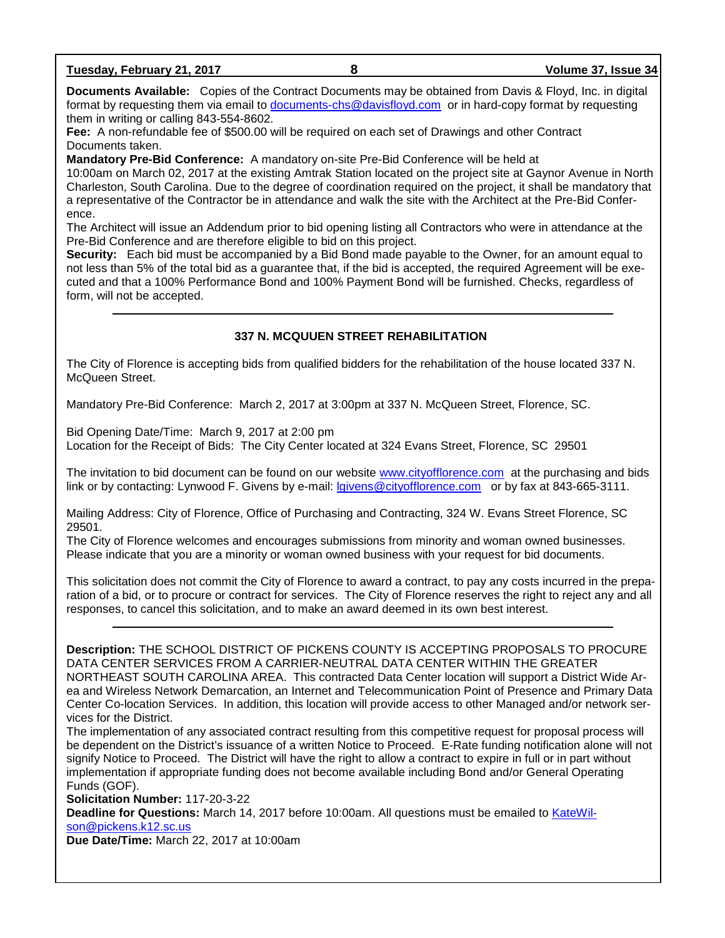| Tuesday, February 21, 2017 |  |
|----------------------------|--|
|----------------------------|--|

**Tuesday, February 21, 2017 8 Volume 37, Issue 34**

**Documents Available:** Copies of the Contract Documents may be obtained from Davis & Floyd, Inc. in digital format by requesting them via email to [documents-chs@davisfloyd.com](mailto:documents-chs@davisfloyd.com) or in hard-copy format by requesting them in writing or calling 843-554-8602.

**Fee:** A non-refundable fee of \$500.00 will be required on each set of Drawings and other Contract Documents taken.

**Mandatory Pre-Bid Conference:** A mandatory on-site Pre-Bid Conference will be held at

10:00am on March 02, 2017 at the existing Amtrak Station located on the project site at Gaynor Avenue in North Charleston, South Carolina. Due to the degree of coordination required on the project, it shall be mandatory that a representative of the Contractor be in attendance and walk the site with the Architect at the Pre-Bid Conference.

The Architect will issue an Addendum prior to bid opening listing all Contractors who were in attendance at the Pre-Bid Conference and are therefore eligible to bid on this project.

**Security:** Each bid must be accompanied by a Bid Bond made payable to the Owner, for an amount equal to not less than 5% of the total bid as a guarantee that, if the bid is accepted, the required Agreement will be executed and that a 100% Performance Bond and 100% Payment Bond will be furnished. Checks, regardless of form, will not be accepted.

# **337 N. MCQUUEN STREET REHABILITATION**

The City of Florence is accepting bids from qualified bidders for the rehabilitation of the house located 337 N. McQueen Street.

Mandatory Pre-Bid Conference: March 2, 2017 at 3:00pm at 337 N. McQueen Street, Florence, SC.

Bid Opening Date/Time: March 9, 2017 at 2:00 pm Location for the Receipt of Bids: The City Center located at 324 Evans Street, Florence, SC 29501

The invitation to bid document can be found on our website [www.cityofflorence.com](http://www.cityofflorence.com/) at the purchasing and bids link or by contacting: Lynwood F. Givens by e-mail: [lgivens@cityofflorence.com](mailto:lgivens@cityofflorence.com) or by fax at 843-665-3111.

Mailing Address: City of Florence, Office of Purchasing and Contracting, 324 W. Evans Street Florence, SC 29501.

The City of Florence welcomes and encourages submissions from minority and woman owned businesses. Please indicate that you are a minority or woman owned business with your request for bid documents.

This solicitation does not commit the City of Florence to award a contract, to pay any costs incurred in the preparation of a bid, or to procure or contract for services. The City of Florence reserves the right to reject any and all responses, to cancel this solicitation, and to make an award deemed in its own best interest.

**Description:** THE SCHOOL DISTRICT OF PICKENS COUNTY IS ACCEPTING PROPOSALS TO PROCURE DATA CENTER SERVICES FROM A CARRIER-NEUTRAL DATA CENTER WITHIN THE GREATER NORTHEAST SOUTH CAROLINA AREA. This contracted Data Center location will support a District Wide Area and Wireless Network Demarcation, an Internet and Telecommunication Point of Presence and Primary Data Center Co-location Services. In addition, this location will provide access to other Managed and/or network services for the District.

The implementation of any associated contract resulting from this competitive request for proposal process will be dependent on the District's issuance of a written Notice to Proceed. E-Rate funding notification alone will not signify Notice to Proceed. The District will have the right to allow a contract to expire in full or in part without implementation if appropriate funding does not become available including Bond and/or General Operating Funds (GOF).

**Solicitation Number:** 117-20-3-22

**Deadline for Questions:** March 14, 2017 before 10:00am. All questions must be emailed to [KateWil](mailto:KateWilson@pickens.k12.sc.us)[son@pickens.k12.sc.us](mailto:KateWilson@pickens.k12.sc.us)

**Due Date/Time:** March 22, 2017 at 10:00am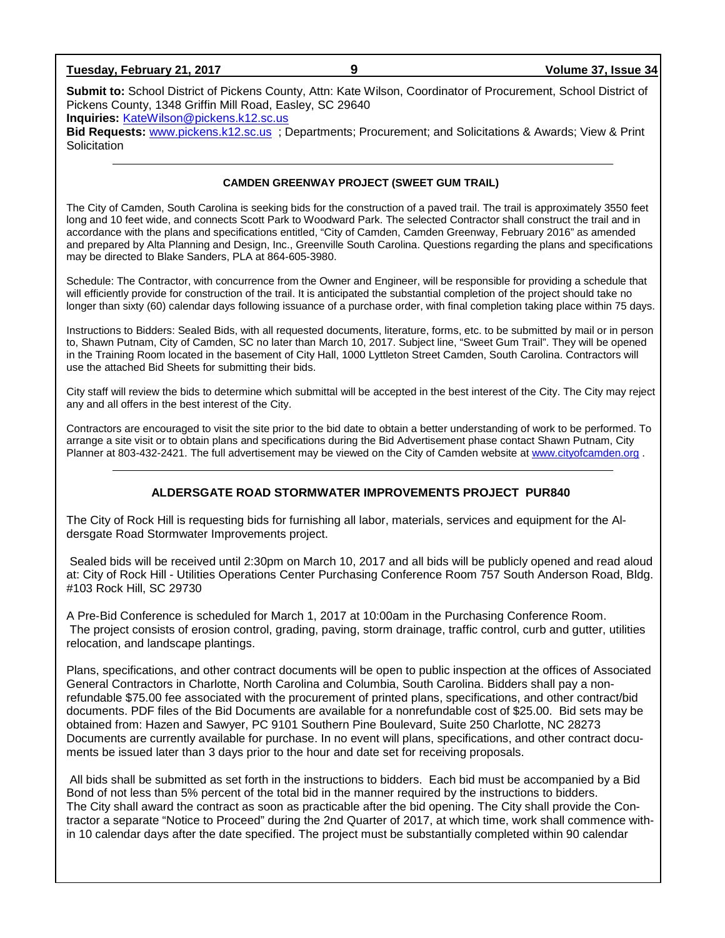**Tuesday, February 21, 2017 9 Volume 37, Issue 34**

**Submit to:** School District of Pickens County, Attn: Kate Wilson, Coordinator of Procurement, School District of Pickens County, 1348 Griffin Mill Road, Easley, SC 29640

**Inquiries:** [KateWilson@pickens.k12.sc.us](mailto:KateWilson@pickens.k12.sc.us)

**Bid Requests:** [www.pickens.k12.sc.us](http://www.pickens.k12.sc.us/) ; Departments; Procurement; and Solicitations & Awards; View & Print **Solicitation** 

### **CAMDEN GREENWAY PROJECT (SWEET GUM TRAIL)**

The City of Camden, South Carolina is seeking bids for the construction of a paved trail. The trail is approximately 3550 feet long and 10 feet wide, and connects Scott Park to Woodward Park. The selected Contractor shall construct the trail and in accordance with the plans and specifications entitled, "City of Camden, Camden Greenway, February 2016" as amended and prepared by Alta Planning and Design, Inc., Greenville South Carolina. Questions regarding the plans and specifications may be directed to Blake Sanders, PLA at 864-605-3980.

Schedule: The Contractor, with concurrence from the Owner and Engineer, will be responsible for providing a schedule that will efficiently provide for construction of the trail. It is anticipated the substantial completion of the project should take no longer than sixty (60) calendar days following issuance of a purchase order, with final completion taking place within 75 days.

Instructions to Bidders: Sealed Bids, with all requested documents, literature, forms, etc. to be submitted by mail or in person to, Shawn Putnam, City of Camden, SC no later than March 10, 2017. Subject line, "Sweet Gum Trail". They will be opened in the Training Room located in the basement of City Hall, 1000 Lyttleton Street Camden, South Carolina. Contractors will use the attached Bid Sheets for submitting their bids.

City staff will review the bids to determine which submittal will be accepted in the best interest of the City. The City may reject any and all offers in the best interest of the City.

Contractors are encouraged to visit the site prior to the bid date to obtain a better understanding of work to be performed. To arrange a site visit or to obtain plans and specifications during the Bid Advertisement phase contact Shawn Putnam, City Planner at 803-432-2421. The full advertisement may be viewed on the City of Camden website at [www.cityofcamden.org](http://www.cityofcamden.org/) .

### **ALDERSGATE ROAD STORMWATER IMPROVEMENTS PROJECT PUR840**

The City of Rock Hill is requesting bids for furnishing all labor, materials, services and equipment for the Aldersgate Road Stormwater Improvements project.

Sealed bids will be received until 2:30pm on March 10, 2017 and all bids will be publicly opened and read aloud at: City of Rock Hill - Utilities Operations Center Purchasing Conference Room 757 South Anderson Road, Bldg. #103 Rock Hill, SC 29730

A Pre‐Bid Conference is scheduled for March 1, 2017 at 10:00am in the Purchasing Conference Room. The project consists of erosion control, grading, paving, storm drainage, traffic control, curb and gutter, utilities relocation, and landscape plantings.

Plans, specifications, and other contract documents will be open to public inspection at the offices of Associated General Contractors in Charlotte, North Carolina and Columbia, South Carolina. Bidders shall pay a nonrefundable \$75.00 fee associated with the procurement of printed plans, specifications, and other contract/bid documents. PDF files of the Bid Documents are available for a nonrefundable cost of \$25.00. Bid sets may be obtained from: Hazen and Sawyer, PC 9101 Southern Pine Boulevard, Suite 250 Charlotte, NC 28273 Documents are currently available for purchase. In no event will plans, specifications, and other contract documents be issued later than 3 days prior to the hour and date set for receiving proposals.

All bids shall be submitted as set forth in the instructions to bidders. Each bid must be accompanied by a Bid Bond of not less than 5% percent of the total bid in the manner required by the instructions to bidders. The City shall award the contract as soon as practicable after the bid opening. The City shall provide the Contractor a separate "Notice to Proceed" during the 2nd Quarter of 2017, at which time, work shall commence within 10 calendar days after the date specified. The project must be substantially completed within 90 calendar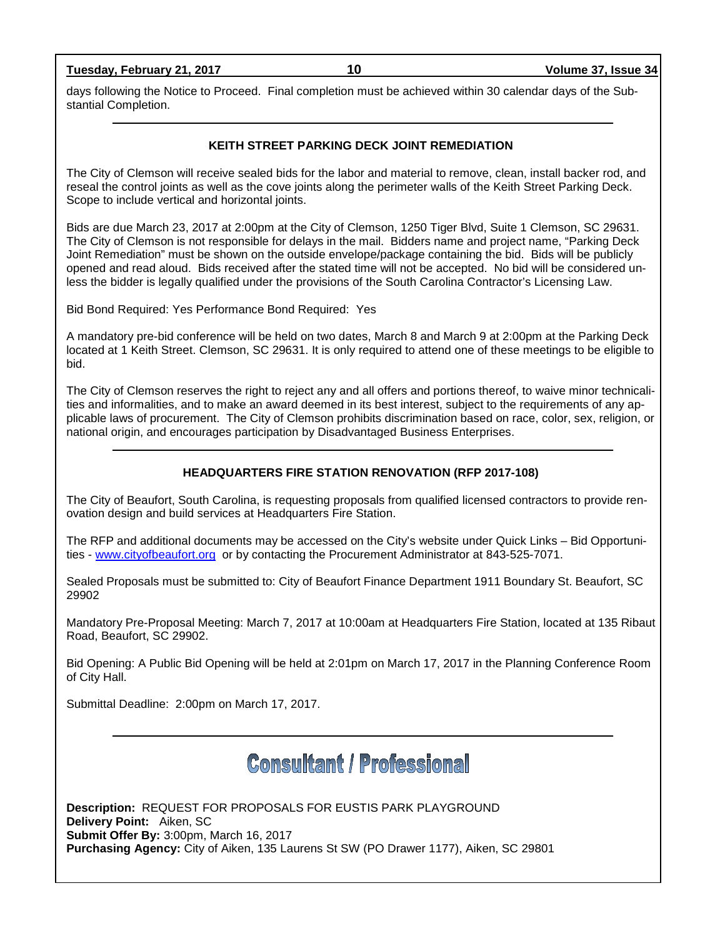**Tuesday, February 21, 2017 10 Volume 37, Issue 34**

days following the Notice to Proceed. Final completion must be achieved within 30 calendar days of the Substantial Completion.

### **KEITH STREET PARKING DECK JOINT REMEDIATION**

The City of Clemson will receive sealed bids for the labor and material to remove, clean, install backer rod, and reseal the control joints as well as the cove joints along the perimeter walls of the Keith Street Parking Deck. Scope to include vertical and horizontal joints.

Bids are due March 23, 2017 at 2:00pm at the City of Clemson, 1250 Tiger Blvd, Suite 1 Clemson, SC 29631. The City of Clemson is not responsible for delays in the mail. Bidders name and project name, "Parking Deck Joint Remediation" must be shown on the outside envelope/package containing the bid. Bids will be publicly opened and read aloud. Bids received after the stated time will not be accepted. No bid will be considered unless the bidder is legally qualified under the provisions of the South Carolina Contractor's Licensing Law.

Bid Bond Required: Yes Performance Bond Required: Yes

A mandatory pre-bid conference will be held on two dates, March 8 and March 9 at 2:00pm at the Parking Deck located at 1 Keith Street. Clemson, SC 29631. It is only required to attend one of these meetings to be eligible to bid.

The City of Clemson reserves the right to reject any and all offers and portions thereof, to waive minor technicalities and informalities, and to make an award deemed in its best interest, subject to the requirements of any applicable laws of procurement. The City of Clemson prohibits discrimination based on race, color, sex, religion, or national origin, and encourages participation by Disadvantaged Business Enterprises.

## **HEADQUARTERS FIRE STATION RENOVATION (RFP 2017-108)**

The City of Beaufort, South Carolina, is requesting proposals from qualified licensed contractors to provide renovation design and build services at Headquarters Fire Station.

The RFP and additional documents may be accessed on the City's website under Quick Links – Bid Opportunities - [www.cityofbeaufort.org](http://www.cityofbeaufort.org/) or by contacting the Procurement Administrator at 843-525-7071.

Sealed Proposals must be submitted to: City of Beaufort Finance Department 1911 Boundary St. Beaufort, SC 29902

Mandatory Pre-Proposal Meeting: March 7, 2017 at 10:00am at Headquarters Fire Station, located at 135 Ribaut Road, Beaufort, SC 29902.

Bid Opening: A Public Bid Opening will be held at 2:01pm on March 17, 2017 in the Planning Conference Room of City Hall.

Submittal Deadline: 2:00pm on March 17, 2017.

**Consultant / Professional** 

**Description:** REQUEST FOR PROPOSALS FOR EUSTIS PARK PLAYGROUND **Delivery Point:** Aiken, SC **Submit Offer By:** 3:00pm, March 16, 2017 **Purchasing Agency:** City of Aiken, 135 Laurens St SW (PO Drawer 1177), Aiken, SC 29801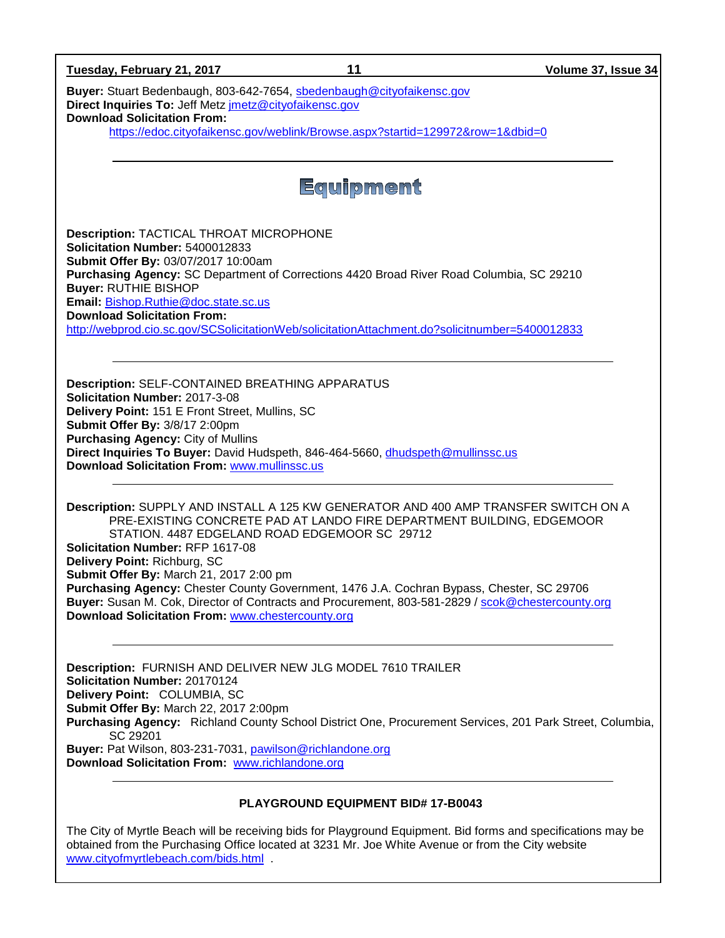| 11<br>Tuesday, February 21, 2017                                                                                                                                                                                                          | Volume 37, Issue 34 |
|-------------------------------------------------------------------------------------------------------------------------------------------------------------------------------------------------------------------------------------------|---------------------|
| Buyer: Stuart Bedenbaugh, 803-642-7654, sbedenbaugh@cityofaikensc.gov<br>Direct Inquiries To: Jeff Metz jmetz@cityofaikensc.gov<br><b>Download Solicitation From:</b>                                                                     |                     |
| https://edoc.cityofaikensc.gov/weblink/Browse.aspx?startid=129972&row=1&dbid=0                                                                                                                                                            |                     |
|                                                                                                                                                                                                                                           |                     |
| Equipment                                                                                                                                                                                                                                 |                     |
| <b>Description: TACTICAL THROAT MICROPHONE</b><br>Solicitation Number: 5400012833<br>Submit Offer By: 03/07/2017 10:00am<br>Purchasing Agency: SC Department of Corrections 4420 Broad River Road Columbia, SC 29210                      |                     |
| <b>Buyer: RUTHIE BISHOP</b>                                                                                                                                                                                                               |                     |
| Email: Bishop.Ruthie@doc.state.sc.us<br><b>Download Solicitation From:</b><br>http://webprod.cio.sc.gov/SCSolicitationWeb/solicitationAttachment.do?solicitnumber=5400012833                                                              |                     |
|                                                                                                                                                                                                                                           |                     |
| <b>Description: SELF-CONTAINED BREATHING APPARATUS</b><br>Solicitation Number: 2017-3-08<br>Delivery Point: 151 E Front Street, Mullins, SC<br>Submit Offer By: 3/8/17 2:00pm<br><b>Purchasing Agency: City of Mullins</b>                |                     |
| Direct Inquiries To Buyer: David Hudspeth, 846-464-5660, dhudspeth@mullinssc.us<br><b>Download Solicitation From: www.mullinssc.us</b>                                                                                                    |                     |
| Description: SUPPLY AND INSTALL A 125 KW GENERATOR AND 400 AMP TRANSFER SWITCH ON A<br>PRE-EXISTING CONCRETE PAD AT LANDO FIRE DEPARTMENT BUILDING, EDGEMOOR<br>STATION. 4487 EDGELAND ROAD EDGEMOOR SC 29712                             |                     |
| <b>Solicitation Number: RFP 1617-08</b><br>Delivery Point: Richburg, SC                                                                                                                                                                   |                     |
| Submit Offer By: March 21, 2017 2:00 pm<br>Purchasing Agency: Chester County Government, 1476 J.A. Cochran Bypass, Chester, SC 29706<br>Buyer: Susan M. Cok, Director of Contracts and Procurement, 803-581-2829 / scok@chestercounty.org |                     |
| Download Solicitation From: www.chestercounty.org                                                                                                                                                                                         |                     |
| <b>Description: FURNISH AND DELIVER NEW JLG MODEL 7610 TRAILER</b><br>Solicitation Number: 20170124                                                                                                                                       |                     |
| Delivery Point: COLUMBIA, SC<br>Submit Offer By: March 22, 2017 2:00pm<br>Purchasing Agency: Richland County School District One, Procurement Services, 201 Park Street, Columbia,                                                        |                     |
| SC 29201<br>Buyer: Pat Wilson, 803-231-7031, pawilson@richlandone.org<br>Download Solicitation From: www.richlandone.org                                                                                                                  |                     |
|                                                                                                                                                                                                                                           |                     |
| PLAYGROUND EQUIPMENT BID# 17-B0043<br>uill be receiving bide for Dlovaround Equipment. Did forme and ano                                                                                                                                  |                     |

The City of Myrtle Beach will be receiving bids for Playground Equipment. Bid forms and specifications may be obtained from the Purchasing Office located at 3231 Mr. Joe White Avenue or from the City website [www.cityofmyrtlebeach.com/bids.html](http://www.cityofmyrtlebeach.com/bids.html)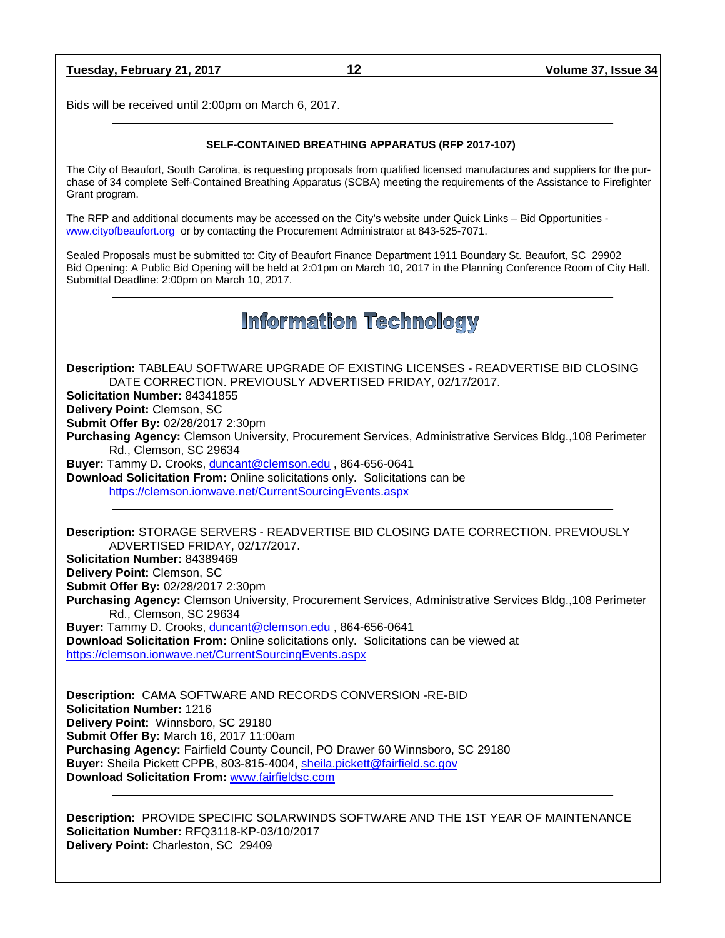| Tuesday, February 21, 2017 |
|----------------------------|
|----------------------------|

Bids will be received until 2:00pm on March 6, 2017.

#### **SELF-CONTAINED BREATHING APPARATUS (RFP 2017-107)**

The City of Beaufort, South Carolina, is requesting proposals from qualified licensed manufactures and suppliers for the purchase of 34 complete Self-Contained Breathing Apparatus (SCBA) meeting the requirements of the Assistance to Firefighter Grant program.

The RFP and additional documents may be accessed on the City's website under Quick Links – Bid Opportunities [www.cityofbeaufort.org](http://www.cityofbeaufort.org/) or by contacting the Procurement Administrator at 843-525-7071.

Sealed Proposals must be submitted to: City of Beaufort Finance Department 1911 Boundary St. Beaufort, SC 29902 Bid Opening: A Public Bid Opening will be held at 2:01pm on March 10, 2017 in the Planning Conference Room of City Hall. Submittal Deadline: 2:00pm on March 10, 2017.

# **Information Technology**

**Description:** TABLEAU SOFTWARE UPGRADE OF EXISTING LICENSES - READVERTISE BID CLOSING DATE CORRECTION. PREVIOUSLY ADVERTISED FRIDAY, 02/17/2017.

**Solicitation Number:** 84341855

**Delivery Point:** Clemson, SC

**Submit Offer By:** 02/28/2017 2:30pm

**Purchasing Agency:** Clemson University, Procurement Services, Administrative Services Bldg.,108 Perimeter Rd., Clemson, SC 29634

**Buyer:** Tammy D. Crooks[, duncant@clemson.edu](mailto:duncant@clemson.edu) , 864-656-0641

**Download Solicitation From:** Online solicitations only. Solicitations can be <https://clemson.ionwave.net/CurrentSourcingEvents.aspx>

**Description:** STORAGE SERVERS - READVERTISE BID CLOSING DATE CORRECTION. PREVIOUSLY ADVERTISED FRIDAY, 02/17/2017.

**Solicitation Number:** 84389469

**Delivery Point:** Clemson, SC **Submit Offer By:** 02/28/2017 2:30pm

**Purchasing Agency:** Clemson University, Procurement Services, Administrative Services Bldg.,108 Perimeter Rd., Clemson, SC 29634

**Buyer:** Tammy D. Crooks[, duncant@clemson.edu](mailto:duncant@clemson.edu) , 864-656-0641 **Download Solicitation From:** Online solicitations only. Solicitations can be viewed at <https://clemson.ionwave.net/CurrentSourcingEvents.aspx>

**Description:** CAMA SOFTWARE AND RECORDS CONVERSION -RE-BID **Solicitation Number:** 1216 **Delivery Point:** Winnsboro, SC 29180 **Submit Offer By:** March 16, 2017 11:00am **Purchasing Agency:** Fairfield County Council, PO Drawer 60 Winnsboro, SC 29180 **Buyer:** Sheila Pickett CPPB, 803-815-4004, [sheila.pickett@fairfield.sc.gov](mailto:sheila.pickett@fairfield.sc.gov) **Download Solicitation From:** [www.fairfieldsc.com](http://www.fairfieldsc.com/)

**Description:** PROVIDE SPECIFIC SOLARWINDS SOFTWARE AND THE 1ST YEAR OF MAINTENANCE **Solicitation Number:** RFQ3118-KP-03/10/2017 **Delivery Point:** Charleston, SC 29409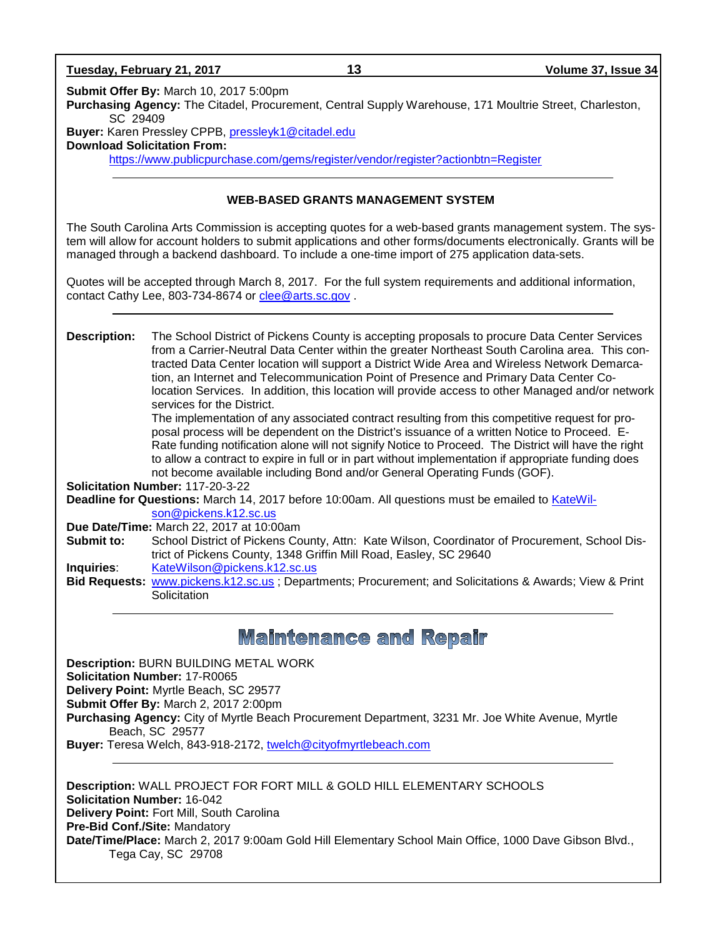**Submit Offer By:** March 10, 2017 5:00pm **Purchasing Agency:** The Citadel, Procurement, Central Supply Warehouse, 171 Moultrie Street, Charleston, SC 29409 **Buyer:** Karen Pressley CPPB, [pressleyk1@citadel.edu](mailto:pressleyk1@citadel.edu)  **Download Solicitation From:** <https://www.publicpurchase.com/gems/register/vendor/register?actionbtn=Register> **WEB-BASED GRANTS MANAGEMENT SYSTEM** The South Carolina Arts Commission is accepting quotes for a web-based grants management system. The system will allow for account holders to submit applications and other forms/documents electronically. Grants will be managed through a backend dashboard. To include a one-time import of 275 application data-sets. Quotes will be accepted through March 8, 2017. For the full system requirements and additional information, contact Cathy Lee, 803-734-8674 or [clee@arts.sc.gov](mailto:clee@arts.sc.gov) . **Description:** The School District of Pickens County is accepting proposals to procure Data Center Services from a Carrier-Neutral Data Center within the greater Northeast South Carolina area. This contracted Data Center location will support a District Wide Area and Wireless Network Demarcation, an Internet and Telecommunication Point of Presence and Primary Data Center Colocation Services. In addition, this location will provide access to other Managed and/or network services for the District. The implementation of any associated contract resulting from this competitive request for proposal process will be dependent on the District's issuance of a written Notice to Proceed. E-Rate funding notification alone will not signify Notice to Proceed. The District will have the right to allow a contract to expire in full or in part without implementation if appropriate funding does not become available including Bond and/or General Operating Funds (GOF). **Solicitation Number:** 117-20-3-22 **Deadline for Questions:** March 14, 2017 before 10:00am. All questions must be emailed to [KateWil](mailto:KateWilson@pickens.k12.sc.us)[son@pickens.k12.sc.us](mailto:KateWilson@pickens.k12.sc.us) **Due Date/Time:** March 22, 2017 at 10:00am<br>**Submit to:** School District of Pickens Co School District of Pickens County, Attn: Kate Wilson, Coordinator of Procurement, School District of Pickens County, 1348 Griffin Mill Road, Easley, SC 29640 **Inquiries**: [KateWilson@pickens.k12.sc.us](mailto:KateWilson@pickens.k12.sc.us) **Bid Requests:** [www.pickens.k12.sc.us](http://www.pickens.k12.sc.us/) ; Departments; Procurement; and Solicitations & Awards; View & Print **Solicitation Maintenance and Repair Description:** BURN BUILDING METAL WORK **Solicitation Number:** 17-R0065 **Delivery Point:** Myrtle Beach, SC 29577 **Submit Offer By:** March 2, 2017 2:00pm **Purchasing Agency:** City of Myrtle Beach Procurement Department, 3231 Mr. Joe White Avenue, Myrtle Beach, SC 29577 **Buyer:** Teresa Welch, 843-918-2172, [twelch@cityofmyrtlebeach.com](mailto:twelch@cityofmyrtlebeach.com) **Description:** WALL PROJECT FOR FORT MILL & GOLD HILL ELEMENTARY SCHOOLS

**Solicitation Number:** 16-042 **Delivery Point:** Fort Mill, South Carolina **Pre-Bid Conf./Site:** Mandatory **Date/Time/Place:** March 2, 2017 9:00am Gold Hill Elementary School Main Office, 1000 Dave Gibson Blvd., Tega Cay, SC 29708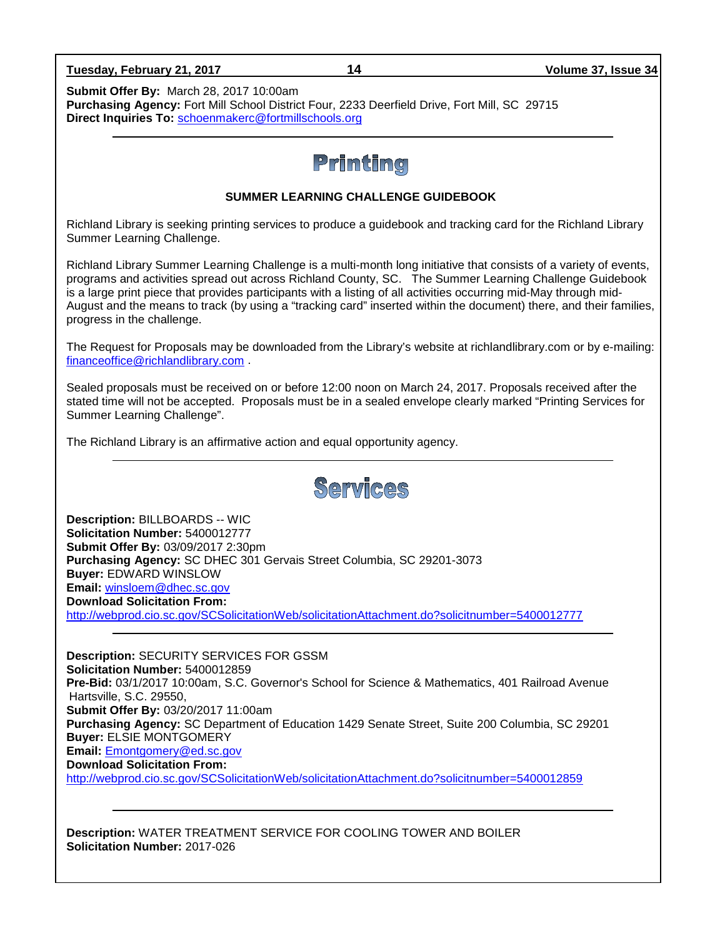| Tuesday, February 21, 2017 |
|----------------------------|
|----------------------------|

**Submit Offer By:** March 28, 2017 10:00am **Purchasing Agency:** Fort Mill School District Four, 2233 Deerfield Drive, Fort Mill, SC 29715 **Direct Inquiries To:** [schoenmakerc@fortmillschools.org](mailto:schoenmakerc@fortmillschools.org)

# Printing

## **SUMMER LEARNING CHALLENGE GUIDEBOOK**

Richland Library is seeking printing services to produce a guidebook and tracking card for the Richland Library Summer Learning Challenge.

Richland Library Summer Learning Challenge is a multi-month long initiative that consists of a variety of events, programs and activities spread out across Richland County, SC. The Summer Learning Challenge Guidebook is a large print piece that provides participants with a listing of all activities occurring mid-May through mid-August and the means to track (by using a "tracking card" inserted within the document) there, and their families, progress in the challenge.

The Request for Proposals may be downloaded from the Library's website at richlandlibrary.com or by e-mailing: [financeoffice@richlandlibrary.com](mailto:financeoffice@richlandlibrary.com) .

Sealed proposals must be received on or before 12:00 noon on March 24, 2017. Proposals received after the stated time will not be accepted. Proposals must be in a sealed envelope clearly marked "Printing Services for Summer Learning Challenge".

The Richland Library is an affirmative action and equal opportunity agency.



**Description:** BILLBOARDS -- WIC **Solicitation Number:** 5400012777 **Submit Offer By:** 03/09/2017 2:30pm **Purchasing Agency:** SC DHEC 301 Gervais Street Columbia, SC 29201-3073 **Buyer:** EDWARD WINSLOW **Email:** [winsloem@dhec.sc.gov](mailto:winsloem@dhec.sc.gov) **Download Solicitation From:**  <http://webprod.cio.sc.gov/SCSolicitationWeb/solicitationAttachment.do?solicitnumber=5400012777>

**Description:** SECURITY SERVICES FOR GSSM **Solicitation Number:** 5400012859 **Pre-Bid:** 03/1/2017 10:00am, S.C. Governor's School for Science & Mathematics, 401 Railroad Avenue Hartsville, S.C. 29550, **Submit Offer By:** 03/20/2017 11:00am **Purchasing Agency:** SC Department of Education 1429 Senate Street, Suite 200 Columbia, SC 29201 **Buyer:** ELSIE MONTGOMERY **Email:** [Emontgomery@ed.sc.gov](mailto:Emontgomery@ed.sc.gov) **Download Solicitation From:**  <http://webprod.cio.sc.gov/SCSolicitationWeb/solicitationAttachment.do?solicitnumber=5400012859>

**Description:** WATER TREATMENT SERVICE FOR COOLING TOWER AND BOILER **Solicitation Number:** 2017-026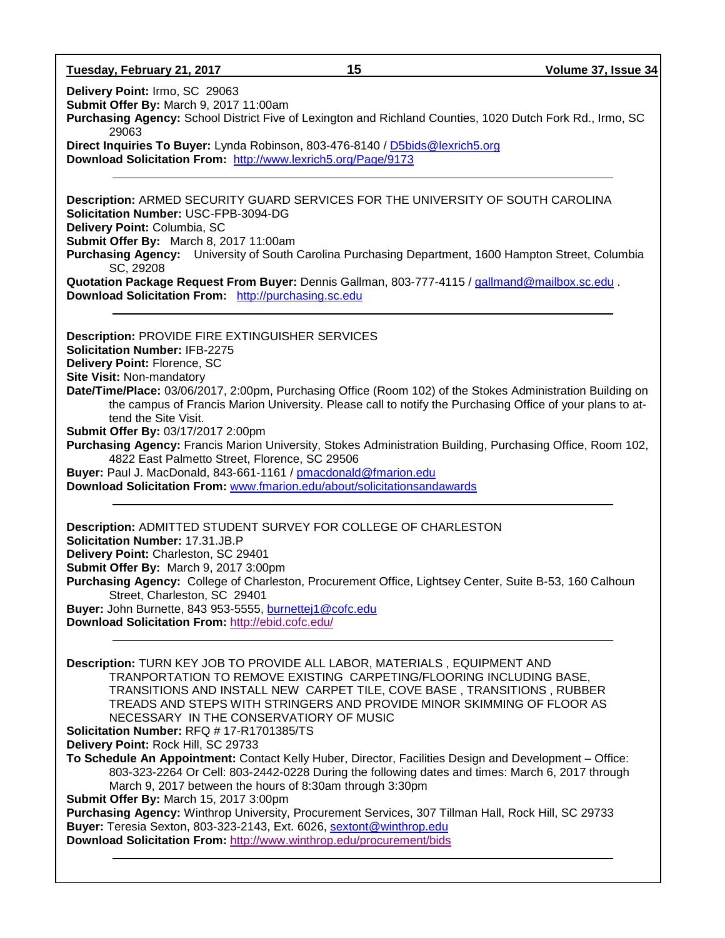**Tuesday, February 21, 2017 15 Volume 37, Issue 34**

**Delivery Point:** Irmo, SC 29063

**Submit Offer By:** March 9, 2017 11:00am

**Purchasing Agency:** School District Five of Lexington and Richland Counties, 1020 Dutch Fork Rd., Irmo, SC 29063

**Direct Inquiries To Buyer:** Lynda Robinson, 803-476-8140 / [D5bids@lexrich5.org](mailto:D5bids@lexrich5.org) **Download Solicitation From:** <http://www.lexrich5.org/Page/9173>

**Description:** ARMED SECURITY GUARD SERVICES FOR THE UNIVERSITY OF SOUTH CAROLINA **Solicitation Number:** USC-FPB-3094-DG **Delivery Point:** Columbia, SC **Submit Offer By:** March 8, 2017 11:00am **Purchasing Agency:** University of South Carolina Purchasing Department, 1600 Hampton Street, Columbia SC, 29208 **Quotation Package Request From Buyer:** Dennis Gallman, 803-777-4115 / [gallmand@mailbox.sc.edu](mailto:gallmand@mailbox.sc.edu) . **Download Solicitation From:** [http://purchasing.sc.edu](http://purchasing.sc.edu/) **Description:** PROVIDE FIRE EXTINGUISHER SERVICES **Solicitation Number:** IFB-2275 **Delivery Point:** Florence, SC **Site Visit:** Non-mandatory **Date/Time/Place:** 03/06/2017, 2:00pm, Purchasing Office (Room 102) of the Stokes Administration Building on the campus of Francis Marion University. Please call to notify the Purchasing Office of your plans to attend the Site Visit.

**Submit Offer By:** 03/17/2017 2:00pm

**Purchasing Agency:** Francis Marion University, Stokes Administration Building, Purchasing Office, Room 102, 4822 East Palmetto Street, Florence, SC 29506

**Buyer:** Paul J. MacDonald, 843-661-1161 / [pmacdonald@fmarion.edu](mailto:pmacdonald@fmarion.edu)

**Download Solicitation From:** [www.fmarion.edu/about/solicitationsandawards](http://www.fmarion.edu/about/solicitationsandawards)

**Description:** ADMITTED STUDENT SURVEY FOR COLLEGE OF CHARLESTON **Solicitation Number:** 17.31.JB.P **Delivery Point:** Charleston, SC 29401 **Submit Offer By:** March 9, 2017 3:00pm **Purchasing Agency:** College of Charleston, Procurement Office, Lightsey Center, Suite B-53, 160 Calhoun Street, Charleston, SC 29401 **Buyer:** John Burnette, 843 953-5555, [burnettej1@cofc.edu](mailto:burnettej1@cofc.edu)

**Download Solicitation From:** <http://ebid.cofc.edu/>

**Description:** TURN KEY JOB TO PROVIDE ALL LABOR, MATERIALS , EQUIPMENT AND TRANPORTATION TO REMOVE EXISTING CARPETING/FLOORING INCLUDING BASE, TRANSITIONS AND INSTALL NEW CARPET TILE, COVE BASE , TRANSITIONS , RUBBER TREADS AND STEPS WITH STRINGERS AND PROVIDE MINOR SKIMMING OF FLOOR AS NECESSARY IN THE CONSERVATIORY OF MUSIC **Solicitation Number:** RFQ # 17-R1701385/TS

**Delivery Point:** Rock Hill, SC 29733

**To Schedule An Appointment:** Contact Kelly Huber, Director, Facilities Design and Development – Office: 803-323-2264 Or Cell: 803-2442-0228 During the following dates and times: March 6, 2017 through March 9, 2017 between the hours of 8:30am through 3:30pm

**Submit Offer By:** March 15, 2017 3:00pm

**Purchasing Agency:** Winthrop University, Procurement Services, 307 Tillman Hall, Rock Hill, SC 29733 **Buyer:** Teresia Sexton, 803-323-2143, Ext. 6026, [sextont@winthrop.edu](mailto:sextont@winthrop.edu)

**Download Solicitation From:** <http://www.winthrop.edu/procurement/bids>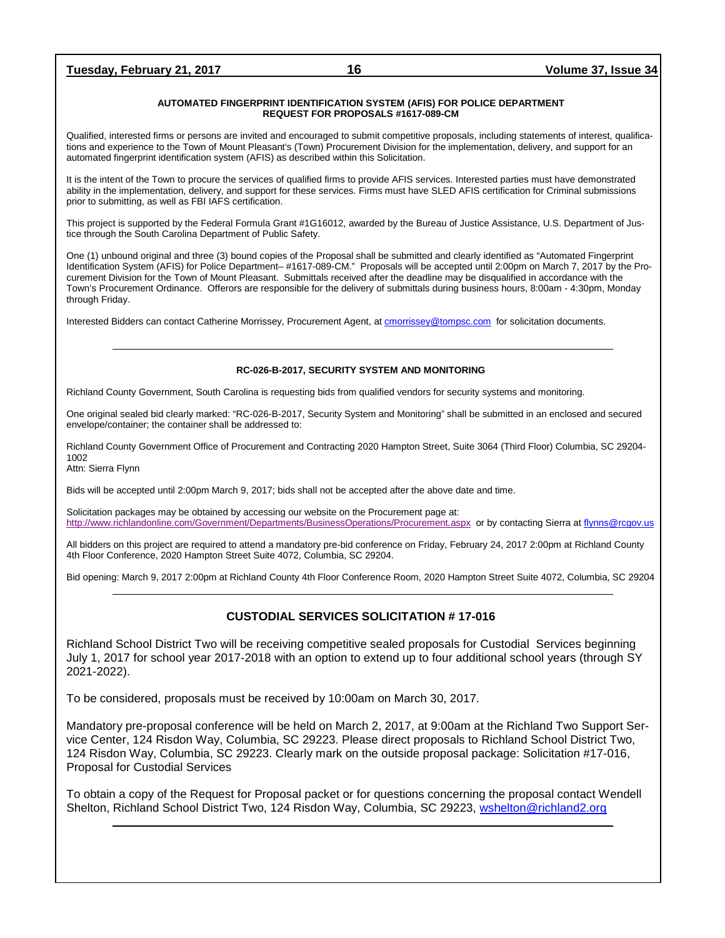#### **AUTOMATED FINGERPRINT IDENTIFICATION SYSTEM (AFIS) FOR POLICE DEPARTMENT REQUEST FOR PROPOSALS #1617-089-CM**

Qualified, interested firms or persons are invited and encouraged to submit competitive proposals, including statements of interest, qualifications and experience to the Town of Mount Pleasant's (Town) Procurement Division for the implementation, delivery, and support for an automated fingerprint identification system (AFIS) as described within this Solicitation.

It is the intent of the Town to procure the services of qualified firms to provide AFIS services. Interested parties must have demonstrated ability in the implementation, delivery, and support for these services. Firms must have SLED AFIS certification for Criminal submissions prior to submitting, as well as FBI IAFS certification.

This project is supported by the Federal Formula Grant #1G16012, awarded by the Bureau of Justice Assistance, U.S. Department of Justice through the South Carolina Department of Public Safety.

One (1) unbound original and three (3) bound copies of the Proposal shall be submitted and clearly identified as "Automated Fingerprint Identification System (AFIS) for Police Department– #1617-089-CM." Proposals will be accepted until 2:00pm on March 7, 2017 by the Procurement Division for the Town of Mount Pleasant. Submittals received after the deadline may be disqualified in accordance with the Town's Procurement Ordinance. Offerors are responsible for the delivery of submittals during business hours, 8:00am - 4:30pm, Monday through Friday.

Interested Bidders can contact Catherine Morrissey, Procurement Agent, a[t cmorrissey@tompsc.com](mailto:cmorrissey@tompsc.com) for solicitation documents.

#### **RC-026-B-2017, SECURITY SYSTEM AND MONITORING**

Richland County Government, South Carolina is requesting bids from qualified vendors for security systems and monitoring.

One original sealed bid clearly marked: "RC-026-B-2017, Security System and Monitoring" shall be submitted in an enclosed and secured envelope/container; the container shall be addressed to:

Richland County Government Office of Procurement and Contracting 2020 Hampton Street, Suite 3064 (Third Floor) Columbia, SC 29204- 1002

Attn: Sierra Flynn

Bids will be accepted until 2:00pm March 9, 2017; bids shall not be accepted after the above date and time.

Solicitation packages may be obtained by accessing our website on the Procurement page at: <http://www.richlandonline.com/Government/Departments/BusinessOperations/Procurement.aspx> or by contacting Sierra a[t flynns@rcgov.us](mailto:flynns@rcgov.us)

All bidders on this project are required to attend a mandatory pre-bid conference on Friday, February 24, 2017 2:00pm at Richland County 4th Floor Conference, 2020 Hampton Street Suite 4072, Columbia, SC 29204.

Bid opening: March 9, 2017 2:00pm at Richland County 4th Floor Conference Room, 2020 Hampton Street Suite 4072, Columbia, SC 29204

### **CUSTODIAL SERVICES SOLICITATION # 17-016**

Richland School District Two will be receiving competitive sealed proposals for Custodial Services beginning July 1, 2017 for school year 2017-2018 with an option to extend up to four additional school years (through SY 2021-2022).

To be considered, proposals must be received by 10:00am on March 30, 2017.

Mandatory pre-proposal conference will be held on March 2, 2017, at 9:00am at the Richland Two Support Service Center, 124 Risdon Way, Columbia, SC 29223. Please direct proposals to Richland School District Two, 124 Risdon Way, Columbia, SC 29223. Clearly mark on the outside proposal package: Solicitation #17-016, Proposal for Custodial Services

To obtain a copy of the Request for Proposal packet or for questions concerning the proposal contact Wendell Shelton, Richland School District Two, 124 Risdon Way, Columbia, SC 29223, [wshelton@richland2.org](mailto:wshelton@richland2.org)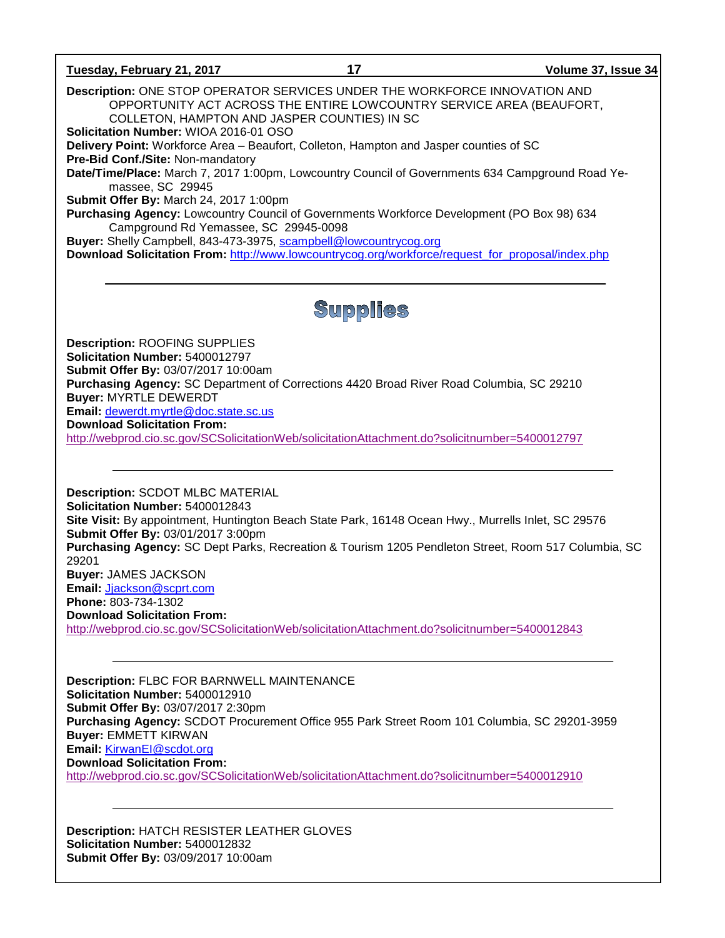### **Tuesday, February 21, 2017 17 Volume 37, Issue 34**

**Description:** ONE STOP OPERATOR SERVICES UNDER THE WORKFORCE INNOVATION AND OPPORTUNITY ACT ACROSS THE ENTIRE LOWCOUNTRY SERVICE AREA (BEAUFORT, COLLETON, HAMPTON AND JASPER COUNTIES) IN SC

**Solicitation Number:** WIOA 2016-01 OSO

**Delivery Point:** Workforce Area – Beaufort, Colleton, Hampton and Jasper counties of SC **Pre-Bid Conf./Site:** Non-mandatory

**Date/Time/Place:** March 7, 2017 1:00pm, Lowcountry Council of Governments 634 Campground Road Yemassee, SC 29945

**Submit Offer By:** March 24, 2017 1:00pm

**Purchasing Agency:** Lowcountry Council of Governments Workforce Development (PO Box 98) 634 Campground Rd Yemassee, SC 29945-0098

**Buyer:** Shelly Campbell, 843-473-3975, [scampbell@lowcountrycog.org](mailto:scampbell@lowcountrycog.org)

**Download Solicitation From:** [http://www.lowcountrycog.org/workforce/request\\_for\\_proposal/index.php](http://www.lowcountrycog.org/workforce/request_for_proposal/index.php)

# **Supplies**

**Description:** ROOFING SUPPLIES **Solicitation Number:** 5400012797 **Submit Offer By:** 03/07/2017 10:00am **Purchasing Agency:** SC Department of Corrections 4420 Broad River Road Columbia, SC 29210 **Buyer:** MYRTLE DEWERDT **Email:** [dewerdt.myrtle@doc.state.sc.us](mailto:dewerdt.myrtle@doc.state.sc.us) **Download Solicitation From:**  <http://webprod.cio.sc.gov/SCSolicitationWeb/solicitationAttachment.do?solicitnumber=5400012797>

**Description:** SCDOT MLBC MATERIAL **Solicitation Number:** 5400012843 **Site Visit:** By appointment, Huntington Beach State Park, 16148 Ocean Hwy., Murrells Inlet, SC 29576 **Submit Offer By:** 03/01/2017 3:00pm **Purchasing Agency:** SC Dept Parks, Recreation & Tourism 1205 Pendleton Street, Room 517 Columbia, SC 29201 **Buyer:** JAMES JACKSON **Email:** [Jjackson@scprt.com](mailto:Jjackson@scprt.com) **Phone:** 803-734-1302 **Download Solicitation From:**  <http://webprod.cio.sc.gov/SCSolicitationWeb/solicitationAttachment.do?solicitnumber=5400012843>

**Description:** FLBC FOR BARNWELL MAINTENANCE **Solicitation Number:** 5400012910 **Submit Offer By:** 03/07/2017 2:30pm **Purchasing Agency:** SCDOT Procurement Office 955 Park Street Room 101 Columbia, SC 29201-3959 **Buyer:** EMMETT KIRWAN **Email:** [KirwanEI@scdot.org](mailto:KirwanEI@scdot.org) **Download Solicitation From:**  <http://webprod.cio.sc.gov/SCSolicitationWeb/solicitationAttachment.do?solicitnumber=5400012910>

**Description:** HATCH RESISTER LEATHER GLOVES **Solicitation Number:** 5400012832 **Submit Offer By:** 03/09/2017 10:00am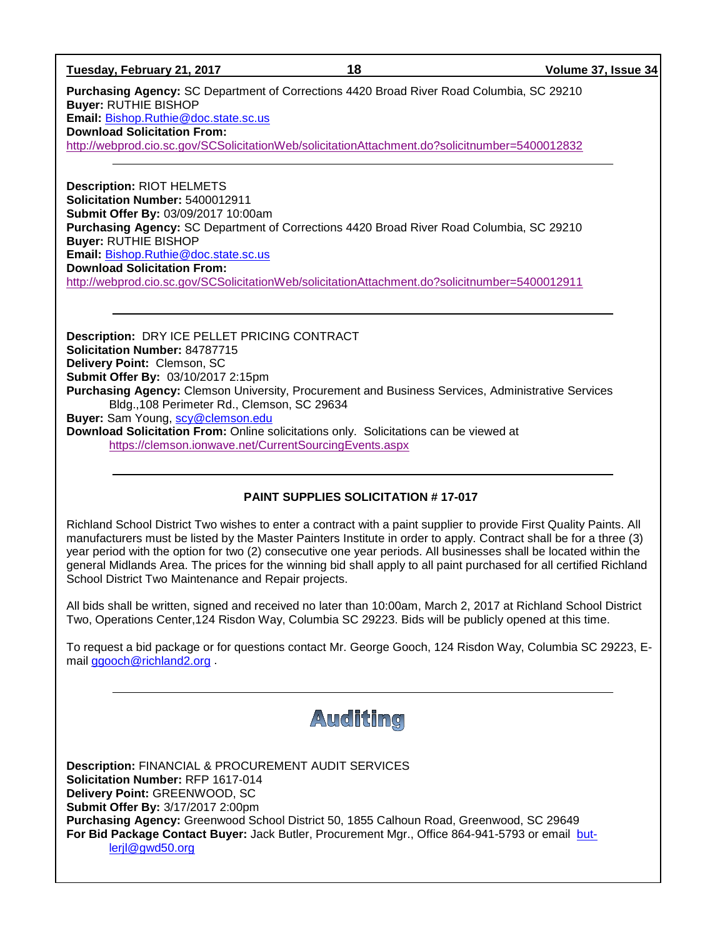**Tuesday, February 21, 2017 18 Volume 37, Issue 34**

**Purchasing Agency:** SC Department of Corrections 4420 Broad River Road Columbia, SC 29210 **Buyer:** RUTHIE BISHOP **Email:** [Bishop.Ruthie@doc.state.sc.us](mailto:Bishop.Ruthie@doc.state.sc.us) **Download Solicitation From:** 

<http://webprod.cio.sc.gov/SCSolicitationWeb/solicitationAttachment.do?solicitnumber=5400012832>

**Description:** RIOT HELMETS **Solicitation Number:** 5400012911 **Submit Offer By:** 03/09/2017 10:00am **Purchasing Agency:** SC Department of Corrections 4420 Broad River Road Columbia, SC 29210 **Buyer:** RUTHIE BISHOP **Email:** [Bishop.Ruthie@doc.state.sc.us](mailto:Bishop.Ruthie@doc.state.sc.us) **Download Solicitation From:**  <http://webprod.cio.sc.gov/SCSolicitationWeb/solicitationAttachment.do?solicitnumber=5400012911>

**Description:** DRY ICE PELLET PRICING CONTRACT **Solicitation Number:** 84787715 **Delivery Point:** Clemson, SC **Submit Offer By:** 03/10/2017 2:15pm **Purchasing Agency:** Clemson University, Procurement and Business Services, Administrative Services Bldg.,108 Perimeter Rd., Clemson, SC 29634 **Buyer:** Sam Young, [scy@clemson.edu](mailto:scy@clemson.edu) **Download Solicitation From:** Online solicitations only. Solicitations can be viewed at <https://clemson.ionwave.net/CurrentSourcingEvents.aspx>

### **PAINT SUPPLIES SOLICITATION # 17-017**

Richland School District Two wishes to enter a contract with a paint supplier to provide First Quality Paints. All manufacturers must be listed by the Master Painters Institute in order to apply. Contract shall be for a three (3) year period with the option for two (2) consecutive one year periods. All businesses shall be located within the general Midlands Area. The prices for the winning bid shall apply to all paint purchased for all certified Richland School District Two Maintenance and Repair projects.

All bids shall be written, signed and received no later than 10:00am, March 2, 2017 at Richland School District Two, Operations Center,124 Risdon Way, Columbia SC 29223. Bids will be publicly opened at this time.

To request a bid package or for questions contact Mr. George Gooch, 124 Risdon Way, Columbia SC 29223, Email [ggooch@richland2.org](mailto:ggooch@richland2.org) .

# Auditing

**Description:** FINANCIAL & PROCUREMENT AUDIT SERVICES **Solicitation Number:** RFP 1617-014 **Delivery Point:** GREENWOOD, SC **Submit Offer By:** 3/17/2017 2:00pm **Purchasing Agency:** Greenwood School District 50, 1855 Calhoun Road, Greenwood, SC 29649 **For Bid Package Contact Buyer:** Jack Butler, Procurement Mgr., Office 864-941-5793 or email [but](mailto:butlerjl@gwd50.org)[lerjl@gwd50.org](mailto:butlerjl@gwd50.org)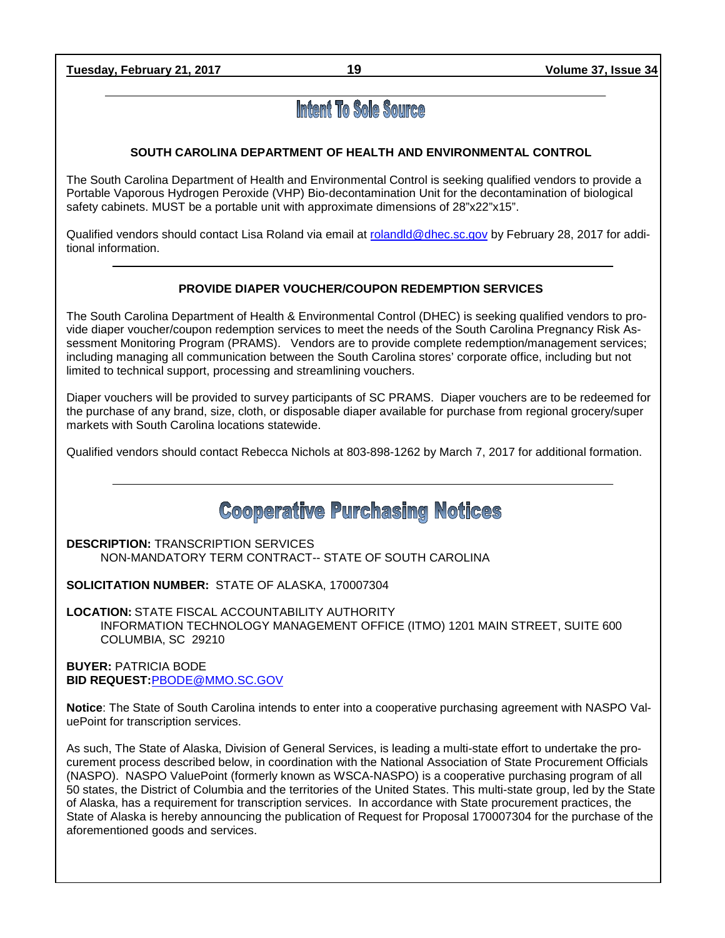**Tuesday, February 21, 2017 19 Volume 37, Issue 34**

# **Intent To Sole Source**

# **SOUTH CAROLINA DEPARTMENT OF HEALTH AND ENVIRONMENTAL CONTROL**

The South Carolina Department of Health and Environmental Control is seeking qualified vendors to provide a Portable Vaporous Hydrogen Peroxide (VHP) Bio-decontamination Unit for the decontamination of biological safety cabinets. MUST be a portable unit with approximate dimensions of 28"x22"x15".

Qualified vendors should contact Lisa Roland via email at [rolandld@dhec.sc.gov](mailto:rolandld@dhec.sc.gov) by February 28, 2017 for additional information.

# **PROVIDE DIAPER VOUCHER/COUPON REDEMPTION SERVICES**

The South Carolina Department of Health & Environmental Control (DHEC) is seeking qualified vendors to provide diaper voucher/coupon redemption services to meet the needs of the South Carolina Pregnancy Risk Assessment Monitoring Program (PRAMS). Vendors are to provide complete redemption/management services; including managing all communication between the South Carolina stores' corporate office, including but not limited to technical support, processing and streamlining vouchers.

Diaper vouchers will be provided to survey participants of SC PRAMS. Diaper vouchers are to be redeemed for the purchase of any brand, size, cloth, or disposable diaper available for purchase from regional grocery/super markets with South Carolina locations statewide.

Qualified vendors should contact Rebecca Nichols at 803-898-1262 by March 7, 2017 for additional formation.

**Cooperative Purchasing Notices** 

**DESCRIPTION:** TRANSCRIPTION SERVICES NON-MANDATORY TERM CONTRACT-- STATE OF SOUTH CAROLINA

**SOLICITATION NUMBER:** STATE OF ALASKA, 170007304

**LOCATION:** STATE FISCAL ACCOUNTABILITY AUTHORITY INFORMATION TECHNOLOGY MANAGEMENT OFFICE (ITMO) 1201 MAIN STREET, SUITE 600 COLUMBIA, SC 29210

**BUYER:** PATRICIA BODE **BID REQUEST:**[PBODE@MMO.SC.GOV](mailto:PBODE@MMO.SC.GOV)

**Notice**: The State of South Carolina intends to enter into a cooperative purchasing agreement with NASPO ValuePoint for transcription services.

As such, The State of Alaska, Division of General Services, is leading a multi-state effort to undertake the procurement process described below, in coordination with the National Association of State Procurement Officials (NASPO). NASPO ValuePoint (formerly known as WSCA-NASPO) is a cooperative purchasing program of all 50 states, the District of Columbia and the territories of the United States. This multi-state group, led by the State of Alaska, has a requirement for transcription services. In accordance with State procurement practices, the State of Alaska is hereby announcing the publication of Request for Proposal 170007304 for the purchase of the aforementioned goods and services.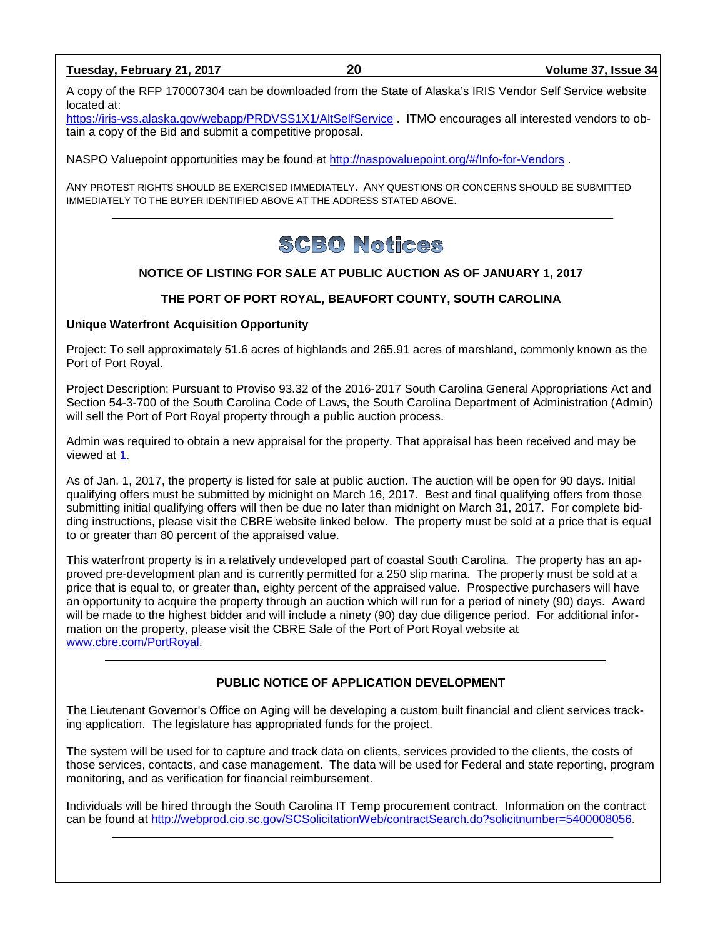### **Tuesday, February 21, 2017 20 Volume 37, Issue 34**

A copy of the RFP 170007304 can be downloaded from the State of Alaska's IRIS Vendor Self Service website located at:

<https://iris-vss.alaska.gov/webapp/PRDVSS1X1/AltSelfService> . ITMO encourages all interested vendors to obtain a copy of the Bid and submit a competitive proposal.

NASPO Valuepoint opportunities may be found at<http://naspovaluepoint.org/#/Info-for-Vendors> .

ANY PROTEST RIGHTS SHOULD BE EXERCISED IMMEDIATELY. ANY QUESTIONS OR CONCERNS SHOULD BE SUBMITTED IMMEDIATELY TO THE BUYER IDENTIFIED ABOVE AT THE ADDRESS STATED ABOVE.

# **SCBO Notices**

## **NOTICE OF LISTING FOR SALE AT PUBLIC AUCTION AS OF JANUARY 1, 2017**

### **THE PORT OF PORT ROYAL, BEAUFORT COUNTY, SOUTH CAROLINA**

### **Unique Waterfront Acquisition Opportunity**

Project: To sell approximately 51.6 acres of highlands and 265.91 acres of marshland, commonly known as the Port of Port Royal.

Project Description: Pursuant to Proviso 93.32 of the 2016-2017 South Carolina General Appropriations Act and Section 54-3-700 of the South Carolina Code of Laws, the South Carolina Department of Administration (Admin) will sell the Port of Port Royal property through a public auction process.

Admin was required to obtain a new appraisal for the property. That appraisal has been received and may be viewed at [1.](http://www.admin.sc.gov/generalservices/surplus-real-property)

As of Jan. 1, 2017, the property is listed for sale at public auction. The auction will be open for 90 days. Initial qualifying offers must be submitted by midnight on March 16, 2017. Best and final qualifying offers from those submitting initial qualifying offers will then be due no later than midnight on March 31, 2017. For complete bidding instructions, please visit the CBRE website linked below. The property must be sold at a price that is equal to or greater than 80 percent of the appraised value.

This waterfront property is in a relatively undeveloped part of coastal South Carolina. The property has an approved pre-development plan and is currently permitted for a 250 slip marina. The property must be sold at a price that is equal to, or greater than, eighty percent of the appraised value. Prospective purchasers will have an opportunity to acquire the property through an auction which will run for a period of ninety (90) days. Award will be made to the highest bidder and will include a ninety (90) day due diligence period. For additional information on the property, please visit the CBRE Sale of the Port of Port Royal website at [www.cbre.com/PortRoyal.](http://www.cbre.com/PortRoyal)

### **PUBLIC NOTICE OF APPLICATION DEVELOPMENT**

The Lieutenant Governor's Office on Aging will be developing a custom built financial and client services tracking application. The legislature has appropriated funds for the project.

The system will be used for to capture and track data on clients, services provided to the clients, the costs of those services, contacts, and case management. The data will be used for Federal and state reporting, program monitoring, and as verification for financial reimbursement.

Individuals will be hired through the South Carolina IT Temp procurement contract. Information on the contract can be found at [http://webprod.cio.sc.gov/SCSolicitationWeb/contractSearch.do?solicitnumber=5400008056.](http://webprod.cio.sc.gov/SCSolicitationWeb/contractSearch.do?solicitnumber=5400008056)